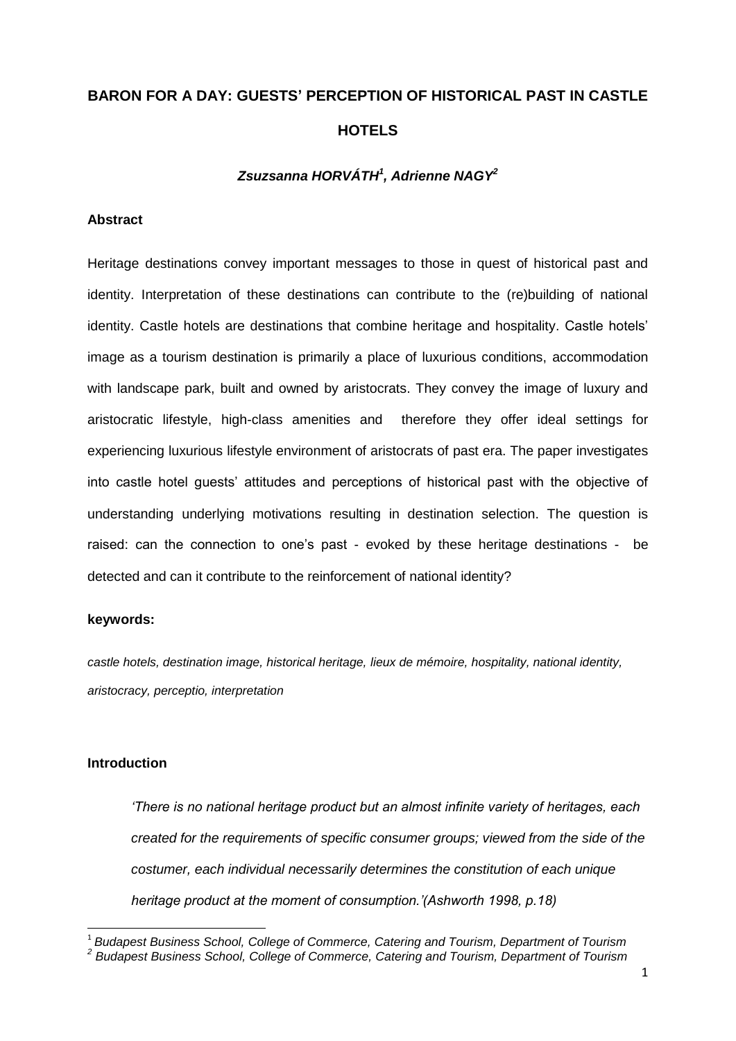# **BARON FOR A DAY: GUESTS' PERCEPTION OF HISTORICAL PAST IN CASTLE HOTELS**

## *Zsuzsanna HORVÁTH<sup>1</sup> , Adrienne NAGY<sup>2</sup>*

## **Abstract**

Heritage destinations convey important messages to those in quest of historical past and identity. Interpretation of these destinations can contribute to the (re)building of national identity. Castle hotels are destinations that combine heritage and hospitality. Castle hotels' image as a tourism destination is primarily a place of luxurious conditions, accommodation with landscape park, built and owned by aristocrats. They convey the image of luxury and aristocratic lifestyle, high-class amenities and therefore they offer ideal settings for experiencing luxurious lifestyle environment of aristocrats of past era. The paper investigates into castle hotel guests' attitudes and perceptions of historical past with the objective of understanding underlying motivations resulting in destination selection. The question is raised: can the connection to one's past - evoked by these heritage destinations - be detected and can it contribute to the reinforcement of national identity?

## **keywords:**

*castle hotels, destination image, historical heritage, lieux de mémoire, hospitality, national identity, aristocracy, perceptio, interpretation*

## **Introduction**

1

*'There is no national heritage product but an almost infinite variety of heritages, each created for the requirements of specific consumer groups; viewed from the side of the costumer, each individual necessarily determines the constitution of each unique heritage product at the moment of consumption.'(Ashworth 1998, p.18)* 

<sup>1</sup> *Budapest Business School, College of Commerce, Catering and Tourism, Department of Tourism*

*<sup>2</sup> Budapest Business School, College of Commerce, Catering and Tourism, Department of Tourism*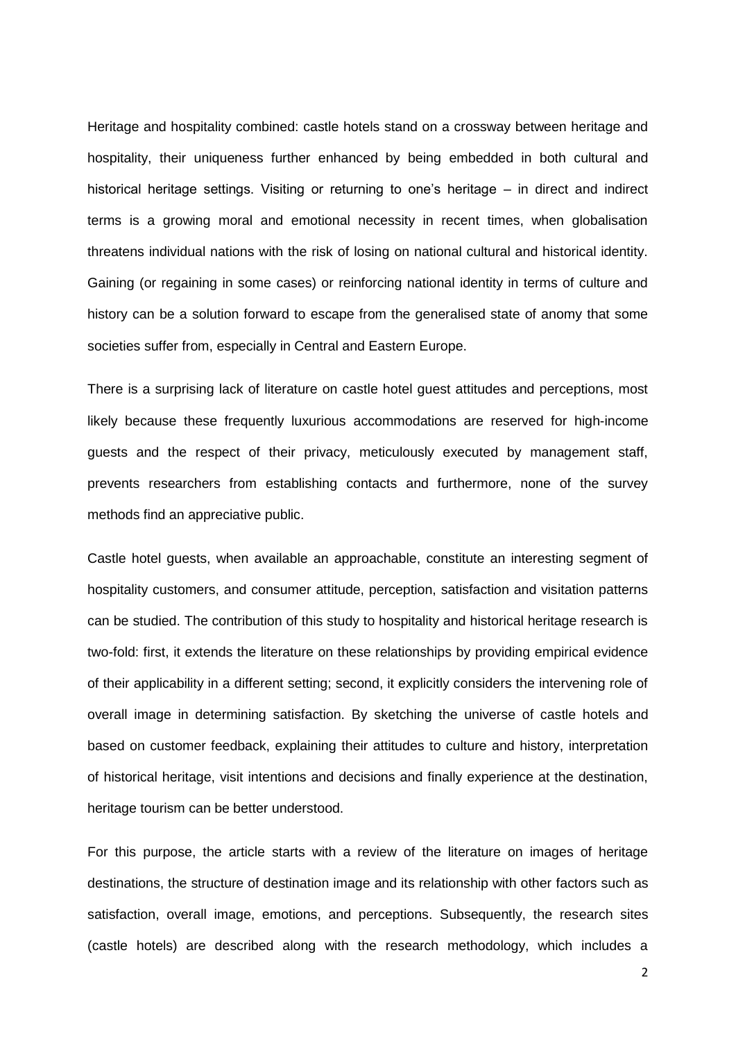Heritage and hospitality combined: castle hotels stand on a crossway between heritage and hospitality, their uniqueness further enhanced by being embedded in both cultural and historical heritage settings. Visiting or returning to one's heritage – in direct and indirect terms is a growing moral and emotional necessity in recent times, when globalisation threatens individual nations with the risk of losing on national cultural and historical identity. Gaining (or regaining in some cases) or reinforcing national identity in terms of culture and history can be a solution forward to escape from the generalised state of anomy that some societies suffer from, especially in Central and Eastern Europe.

There is a surprising lack of literature on castle hotel guest attitudes and perceptions, most likely because these frequently luxurious accommodations are reserved for high-income guests and the respect of their privacy, meticulously executed by management staff, prevents researchers from establishing contacts and furthermore, none of the survey methods find an appreciative public.

Castle hotel guests, when available an approachable, constitute an interesting segment of hospitality customers, and consumer attitude, perception, satisfaction and visitation patterns can be studied. The contribution of this study to hospitality and historical heritage research is two-fold: first, it extends the literature on these relationships by providing empirical evidence of their applicability in a different setting; second, it explicitly considers the intervening role of overall image in determining satisfaction. By sketching the universe of castle hotels and based on customer feedback, explaining their attitudes to culture and history, interpretation of historical heritage, visit intentions and decisions and finally experience at the destination, heritage tourism can be better understood.

For this purpose, the article starts with a review of the literature on images of heritage destinations, the structure of destination image and its relationship with other factors such as satisfaction, overall image, emotions, and perceptions. Subsequently, the research sites (castle hotels) are described along with the research methodology, which includes a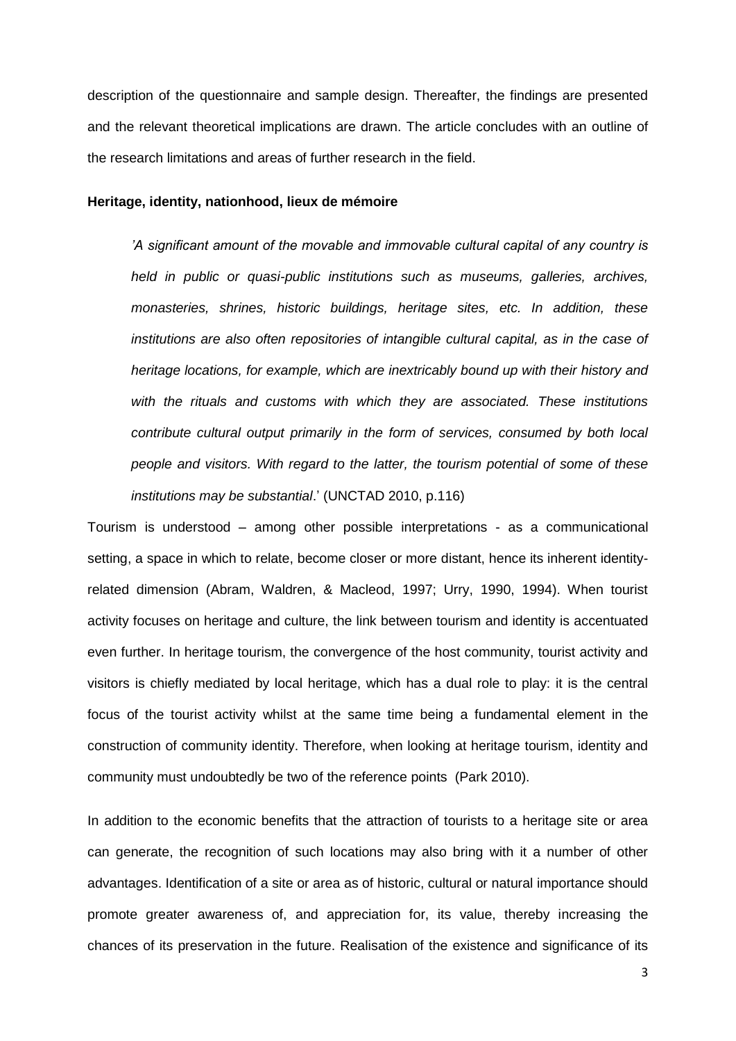description of the questionnaire and sample design. Thereafter, the findings are presented and the relevant theoretical implications are drawn. The article concludes with an outline of the research limitations and areas of further research in the field.

#### **Heritage, identity, nationhood, lieux de mémoire**

*'A significant amount of the movable and immovable cultural capital of any country is held in public or quasi-public institutions such as museums, galleries, archives, monasteries, shrines, historic buildings, heritage sites, etc. In addition, these institutions are also often repositories of intangible cultural capital, as in the case of heritage locations, for example, which are inextricably bound up with their history and with the rituals and customs with which they are associated. These institutions contribute cultural output primarily in the form of services, consumed by both local people and visitors. With regard to the latter, the tourism potential of some of these institutions may be substantial*.' (UNCTAD 2010, p.116)

Tourism is understood – among other possible interpretations - as a communicational setting, a space in which to relate, become closer or more distant, hence its inherent identityrelated dimension (Abram, Waldren, & Macleod, 1997; Urry, 1990, 1994). When tourist activity focuses on heritage and culture, the link between tourism and identity is accentuated even further. In heritage tourism, the convergence of the host community, tourist activity and visitors is chiefly mediated by local heritage, which has a dual role to play: it is the central focus of the tourist activity whilst at the same time being a fundamental element in the construction of community identity. Therefore, when looking at heritage tourism, identity and community must undoubtedly be two of the reference points (Park 2010).

In addition to the economic benefits that the attraction of tourists to a heritage site or area can generate, the recognition of such locations may also bring with it a number of other advantages. Identification of a site or area as of historic, cultural or natural importance should promote greater awareness of, and appreciation for, its value, thereby increasing the chances of its preservation in the future. Realisation of the existence and significance of its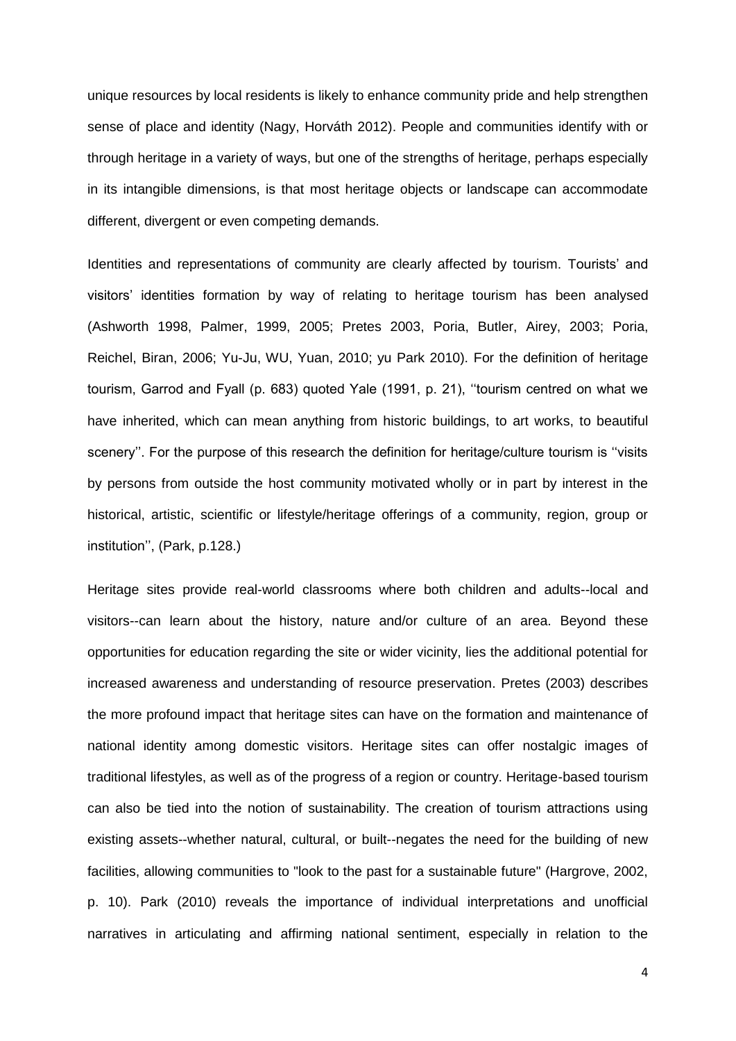unique resources by local residents is likely to enhance community pride and help strengthen sense of place and identity (Nagy, Horváth 2012). People and communities identify with or through heritage in a variety of ways, but one of the strengths of heritage, perhaps especially in its intangible dimensions, is that most heritage objects or landscape can accommodate different, divergent or even competing demands.

Identities and representations of community are clearly affected by tourism. Tourists' and visitors' identities formation by way of relating to heritage tourism has been analysed (Ashworth 1998, Palmer, 1999, 2005; Pretes 2003, Poria, Butler, Airey, 2003; Poria, Reichel, Biran, 2006; Yu-Ju, WU, Yuan, 2010; yu Park 2010). For the definition of heritage tourism, Garrod and Fyall (p. 683) quoted Yale (1991, p. 21), ''tourism centred on what we have inherited, which can mean anything from historic buildings, to art works, to beautiful scenery". For the purpose of this research the definition for heritage/culture tourism is "visits by persons from outside the host community motivated wholly or in part by interest in the historical, artistic, scientific or lifestyle/heritage offerings of a community, region, group or institution'', (Park, p.128.)

Heritage sites provide real-world classrooms where both children and adults--local and visitors--can learn about the history, nature and/or culture of an area. Beyond these opportunities for education regarding the site or wider vicinity, lies the additional potential for increased awareness and understanding of resource preservation. Pretes (2003) describes the more profound impact that heritage sites can have on the formation and maintenance of national identity among domestic visitors. Heritage sites can offer nostalgic images of traditional lifestyles, as well as of the progress of a region or country. Heritage-based tourism can also be tied into the notion of sustainability. The creation of tourism attractions using existing assets--whether natural, cultural, or built--negates the need for the building of new facilities, allowing communities to "look to the past for a sustainable future" (Hargrove, 2002, p. 10). Park (2010) reveals the importance of individual interpretations and unofficial narratives in articulating and affirming national sentiment, especially in relation to the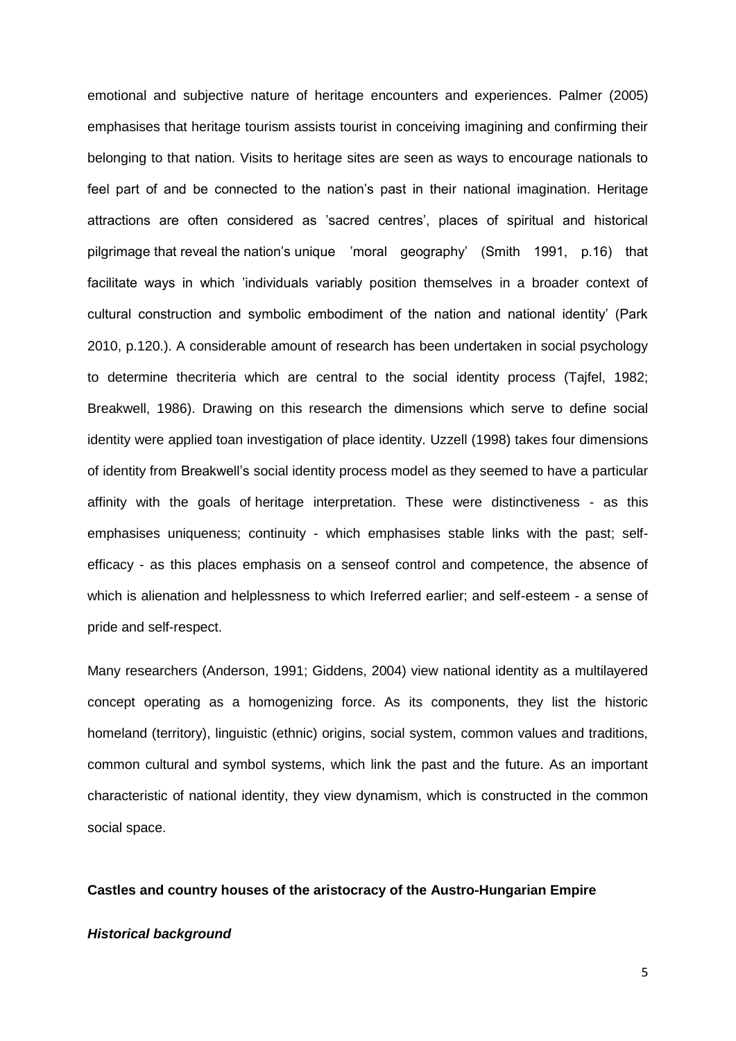emotional and subjective nature of heritage encounters and experiences. Palmer (2005) emphasises that heritage tourism assists tourist in conceiving imagining and confirming their belonging to that nation. Visits to heritage sites are seen as ways to encourage nationals to feel part of and be connected to the nation's past in their national imagination. Heritage attractions are often considered as 'sacred centres', places of spiritual and historical pilgrimage that reveal the nation's unique 'moral geography' (Smith 1991, p.16) that facilitate ways in which 'individuals variably position themselves in a broader context of cultural construction and symbolic embodiment of the nation and national identity' (Park 2010, p.120.). A considerable amount of research has been undertaken in social psychology to determine thecriteria which are central to the social identity process (Tajfel, 1982; Breakwell, 1986). Drawing on this research the dimensions which serve to define social identity were applied toan investigation of place identity. Uzzell (1998) takes four dimensions of identity from Breakwell's social identity process model as they seemed to have a particular affinity with the goals of heritage interpretation. These were distinctiveness - as this emphasises uniqueness; continuity - which emphasises stable links with the past; selfefficacy - as this places emphasis on a senseof control and competence, the absence of which is alienation and helplessness to which Ireferred earlier; and self-esteem - a sense of pride and self-respect.

Many researchers (Anderson, 1991; Giddens, 2004) view national identity as a multilayered concept operating as a homogenizing force. As its components, they list the historic homeland (territory), linguistic (ethnic) origins, social system, common values and traditions, common cultural and symbol systems, which link the past and the future. As an important characteristic of national identity, they view dynamism, which is constructed in the common social space.

#### **Castles and country houses of the aristocracy of the Austro-Hungarian Empire**

#### *Historical background*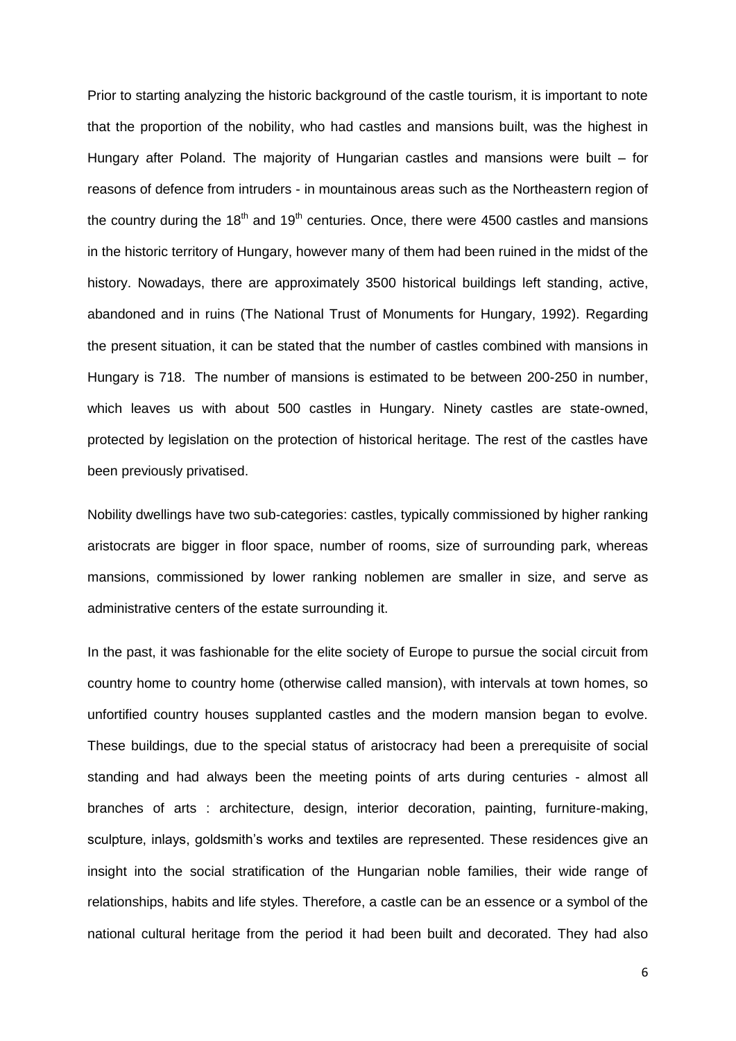Prior to starting analyzing the historic background of the castle tourism, it is important to note that the proportion of the nobility, who had castles and mansions built, was the highest in Hungary after Poland. The majority of Hungarian castles and mansions were built – for reasons of defence from intruders - in mountainous areas such as the Northeastern region of the country during the  $18<sup>th</sup>$  and  $19<sup>th</sup>$  centuries. Once, there were 4500 castles and mansions in the historic territory of Hungary, however many of them had been ruined in the midst of the history. Nowadays, there are approximately 3500 historical buildings left standing, active, abandoned and in ruins (The National Trust of Monuments for Hungary, 1992). Regarding the present situation, it can be stated that the number of castles combined with mansions in Hungary is 718. The number of mansions is estimated to be between 200-250 in number, which leaves us with about 500 castles in Hungary. Ninety castles are state-owned, protected by legislation on the protection of historical heritage. The rest of the castles have been previously privatised.

Nobility dwellings have two sub-categories: castles, typically commissioned by higher ranking aristocrats are bigger in floor space, number of rooms, size of surrounding park, whereas mansions, commissioned by lower ranking noblemen are smaller in size, and serve as administrative centers of the estate surrounding it.

In the past, it was fashionable for the elite society of Europe to pursue the social circuit from country home to country home (otherwise called mansion), with intervals at town homes, so unfortified country houses supplanted castles and the modern mansion began to evolve. These buildings, due to the special status of aristocracy had been a prerequisite of social standing and had always been the meeting points of arts during centuries - almost all branches of arts : architecture, design, interior decoration, painting, furniture-making, sculpture, inlays, goldsmith's works and textiles are represented. These residences give an insight into the social stratification of the Hungarian noble families, their wide range of relationships, habits and life styles. Therefore, a castle can be an essence or a symbol of the national cultural heritage from the period it had been built and decorated. They had also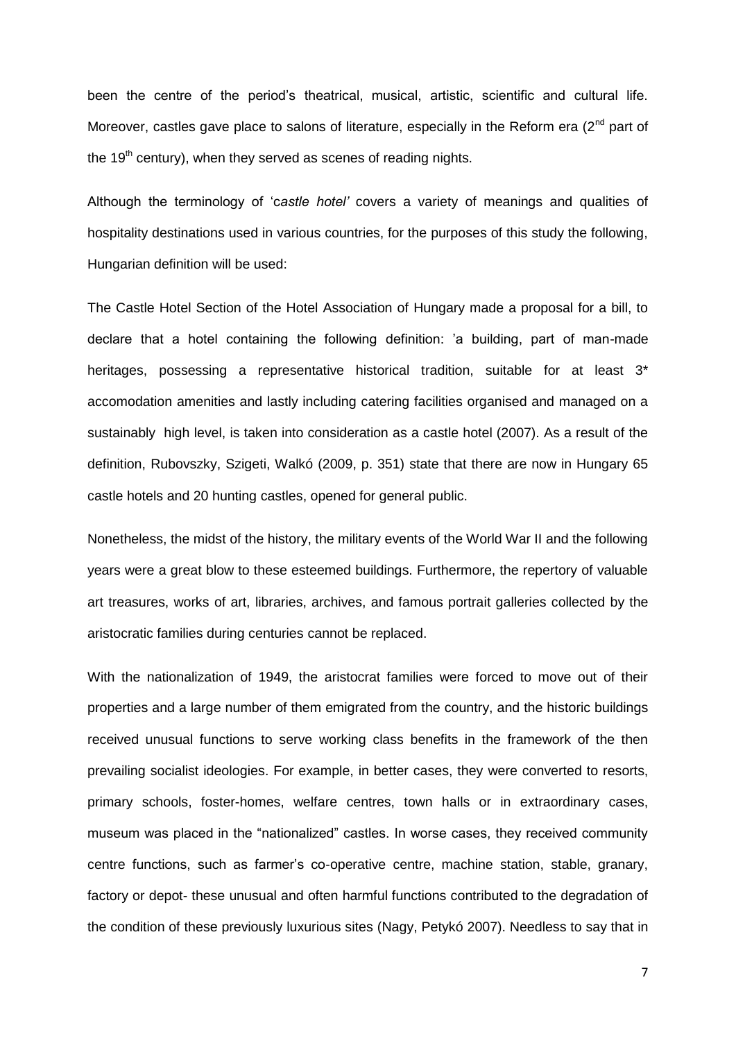been the centre of the period's theatrical, musical, artistic, scientific and cultural life. Moreover, castles gave place to salons of literature, especially in the Reform era  $(2^{nd}$  part of the 19<sup>th</sup> century), when they served as scenes of reading nights.

Although the terminology of 'c*astle hotel'* covers a variety of meanings and qualities of hospitality destinations used in various countries, for the purposes of this study the following, Hungarian definition will be used:

The Castle Hotel Section of the Hotel Association of Hungary made a proposal for a bill, to declare that a hotel containing the following definition: 'a building, part of man-made heritages, possessing a representative historical tradition, suitable for at least 3<sup>\*</sup> accomodation amenities and lastly including catering facilities organised and managed on a sustainably high level, is taken into consideration as a castle hotel (2007). As a result of the definition, Rubovszky, Szigeti, Walkó (2009, p. 351) state that there are now in Hungary 65 castle hotels and 20 hunting castles, opened for general public.

Nonetheless, the midst of the history, the military events of the World War II and the following years were a great blow to these esteemed buildings. Furthermore, the repertory of valuable art treasures, works of art, libraries, archives, and famous portrait galleries collected by the aristocratic families during centuries cannot be replaced.

With the nationalization of 1949, the aristocrat families were forced to move out of their properties and a large number of them emigrated from the country, and the historic buildings received unusual functions to serve working class benefits in the framework of the then prevailing socialist ideologies. For example, in better cases, they were converted to resorts, primary schools, foster-homes, welfare centres, town halls or in extraordinary cases, museum was placed in the "nationalized" castles. In worse cases, they received community centre functions, such as farmer's co-operative centre, machine station, stable, granary, factory or depot- these unusual and often harmful functions contributed to the degradation of the condition of these previously luxurious sites (Nagy, Petykó 2007). Needless to say that in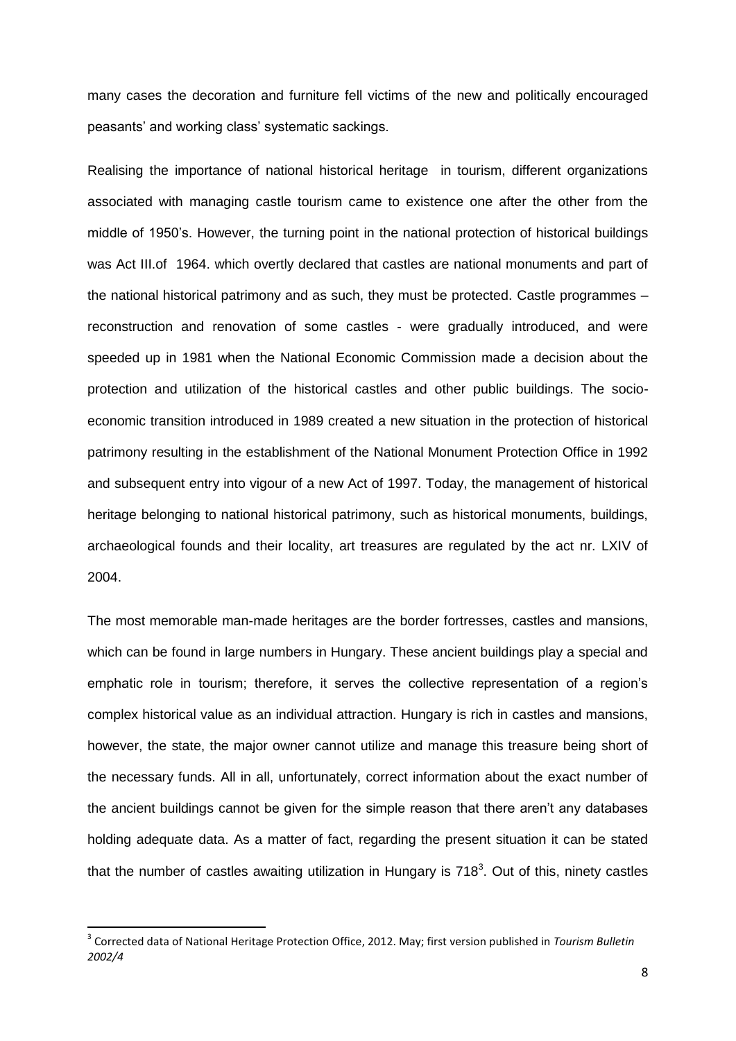many cases the decoration and furniture fell victims of the new and politically encouraged peasants' and working class' systematic sackings.

Realising the importance of national historical heritage in tourism, different organizations associated with managing castle tourism came to existence one after the other from the middle of 1950's. However, the turning point in the national protection of historical buildings was Act III.of 1964. which overtly declared that castles are national monuments and part of the national historical patrimony and as such, they must be protected. Castle programmes – reconstruction and renovation of some castles - were gradually introduced, and were speeded up in 1981 when the National Economic Commission made a decision about the protection and utilization of the historical castles and other public buildings. The socioeconomic transition introduced in 1989 created a new situation in the protection of historical patrimony resulting in the establishment of the National Monument Protection Office in 1992 and subsequent entry into vigour of a new Act of 1997. Today, the management of historical heritage belonging to national historical patrimony, such as historical monuments, buildings, archaeological founds and their locality, art treasures are regulated by the act nr. LXIV of 2004.

The most memorable man-made heritages are the border fortresses, castles and mansions, which can be found in large numbers in Hungary. These ancient buildings play a special and emphatic role in tourism; therefore, it serves the collective representation of a region's complex historical value as an individual attraction. Hungary is rich in castles and mansions, however, the state, the major owner cannot utilize and manage this treasure being short of the necessary funds. All in all, unfortunately, correct information about the exact number of the ancient buildings cannot be given for the simple reason that there aren't any databases holding adequate data. As a matter of fact, regarding the present situation it can be stated that the number of castles awaiting utilization in Hungary is 718<sup>3</sup>. Out of this, ninety castles

<sup>3</sup> Corrected data of National Heritage Protection Office, 2012. May; first version published in *Tourism Bulletin 2002/4*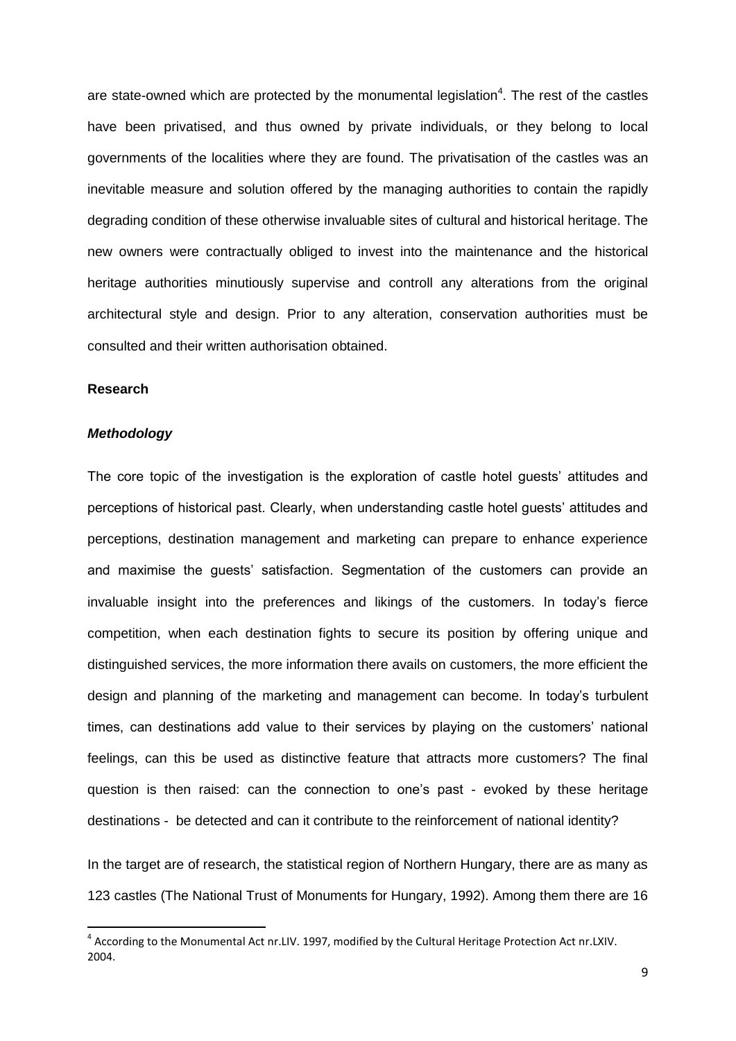are state-owned which are protected by the monumental legislation<sup>4</sup>. The rest of the castles have been privatised, and thus owned by private individuals, or they belong to local governments of the localities where they are found. The privatisation of the castles was an inevitable measure and solution offered by the managing authorities to contain the rapidly degrading condition of these otherwise invaluable sites of cultural and historical heritage. The new owners were contractually obliged to invest into the maintenance and the historical heritage authorities minutiously supervise and controll any alterations from the original architectural style and design. Prior to any alteration, conservation authorities must be consulted and their written authorisation obtained.

## **Research**

1

## *Methodology*

The core topic of the investigation is the exploration of castle hotel guests' attitudes and perceptions of historical past. Clearly, when understanding castle hotel guests' attitudes and perceptions, destination management and marketing can prepare to enhance experience and maximise the guests' satisfaction. Segmentation of the customers can provide an invaluable insight into the preferences and likings of the customers. In today's fierce competition, when each destination fights to secure its position by offering unique and distinguished services, the more information there avails on customers, the more efficient the design and planning of the marketing and management can become. In today's turbulent times, can destinations add value to their services by playing on the customers' national feelings, can this be used as distinctive feature that attracts more customers? The final question is then raised: can the connection to one's past - evoked by these heritage destinations - be detected and can it contribute to the reinforcement of national identity?

In the target are of research, the statistical region of Northern Hungary, there are as many as 123 castles (The National Trust of Monuments for Hungary, 1992). Among them there are 16

<sup>&</sup>lt;sup>4</sup> According to the Monumental Act nr.LIV. 1997, modified by the Cultural Heritage Protection Act nr.LXIV. 2004.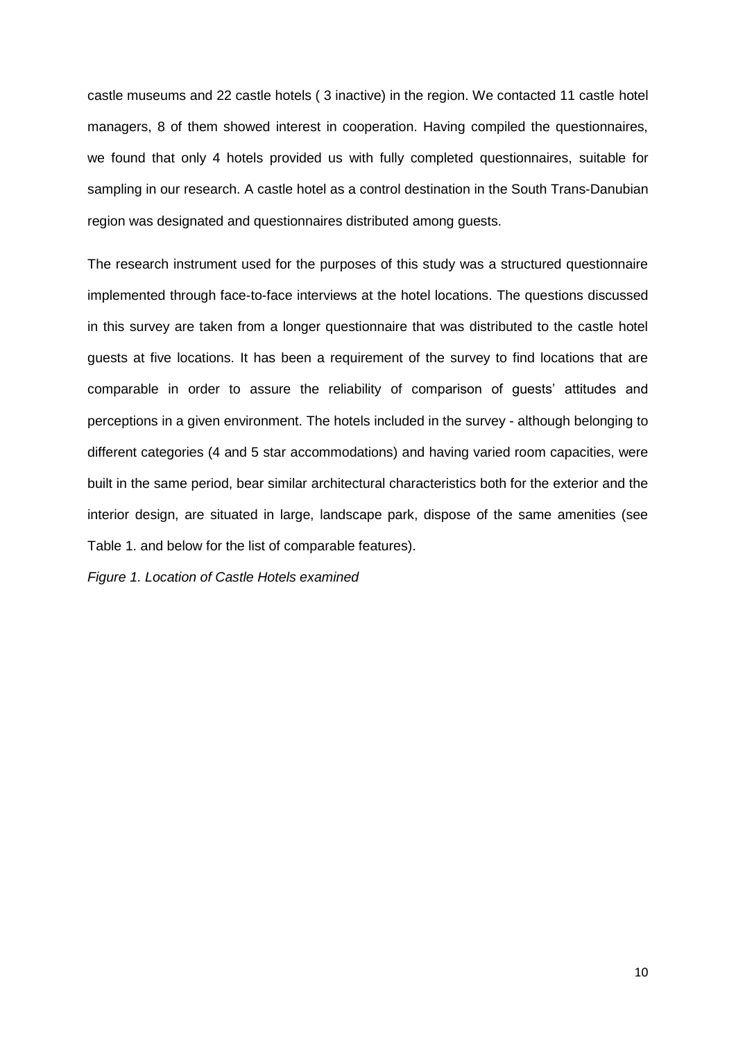castle museums and 22 castle hotels ( 3 inactive) in the region. We contacted 11 castle hotel managers, 8 of them showed interest in cooperation. Having compiled the questionnaires, we found that only 4 hotels provided us with fully completed questionnaires, suitable for sampling in our research. A castle hotel as a control destination in the South Trans-Danubian region was designated and questionnaires distributed among guests.

The research instrument used for the purposes of this study was a structured questionnaire implemented through face-to-face interviews at the hotel locations. The questions discussed in this survey are taken from a longer questionnaire that was distributed to the castle hotel guests at five locations. It has been a requirement of the survey to find locations that are comparable in order to assure the reliability of comparison of guests' attitudes and perceptions in a given environment. The hotels included in the survey - although belonging to different categories (4 and 5 star accommodations) and having varied room capacities, were built in the same period, bear similar architectural characteristics both for the exterior and the interior design, are situated in large, landscape park, dispose of the same amenities (see Table 1. and below for the list of comparable features).

*Figure 1. Location of Castle Hotels examined*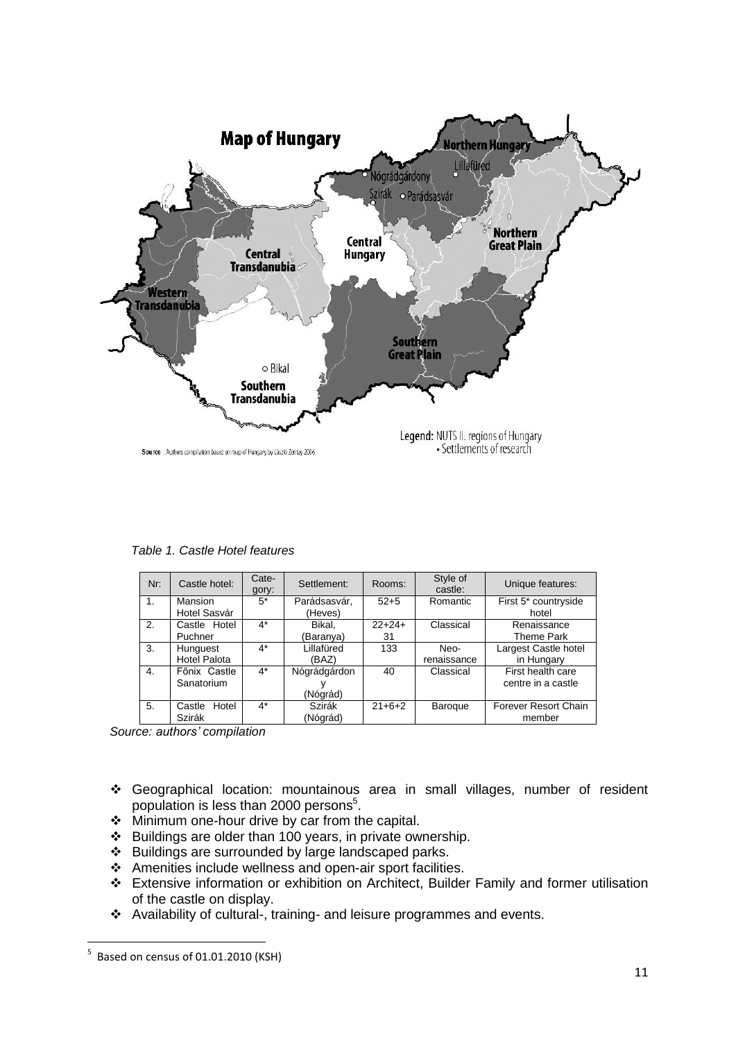

*Table 1. Castle Hotel features*

| Nr: | Castle hotel:                   | Cate-<br>gory: | Settlement:              | Rooms:         | Style of<br>castle: | Unique features:                        |
|-----|---------------------------------|----------------|--------------------------|----------------|---------------------|-----------------------------------------|
| 1.  | Mansion<br>Hotel Sasvár         | $5^*$          | Parádsasvár,<br>(Heves)  | $52+5$         | Romantic            | First 5* countryside<br>hotel           |
| 2.  | Castle Hotel<br>Puchner         | $4^*$          | Bikal.<br>(Baranya)      | $22+24+$<br>31 | Classical           | Renaissance<br>Theme Park               |
| 3.  | Hunguest<br><b>Hotel Palota</b> | $4^*$          | Lillafüred<br>(BAZ)      | 133            | Neo-<br>renaissance | Largest Castle hotel<br>in Hungary      |
| 4.  | Főnix Castle<br>Sanatorium      | $4^*$          | Nógrádgárdon<br>(Nógrád) | 40             | Classical           | First health care<br>centre in a castle |
| 5.  | Hotel<br>Castle<br>Szirák       | $4^*$          | Szirák<br>(Nógrád)       | $21+6+2$       | Baroque             | Forever Resort Chain<br>member          |

*Source: authors' compilation*

- Geographical location: mountainous area in small villages, number of resident population is less than 2000 persons<sup>5</sup>.
- ❖ Minimum one-hour drive by car from the capital.
- $\div$  Buildings are older than 100 years, in private ownership.
- Buildings are surrounded by large landscaped parks.
- Amenities include wellness and open-air sport facilities.
- Extensive information or exhibition on Architect, Builder Family and former utilisation of the castle on display.
- Availability of cultural-, training- and leisure programmes and events.

 5 Based on census of 01.01.2010 (KSH)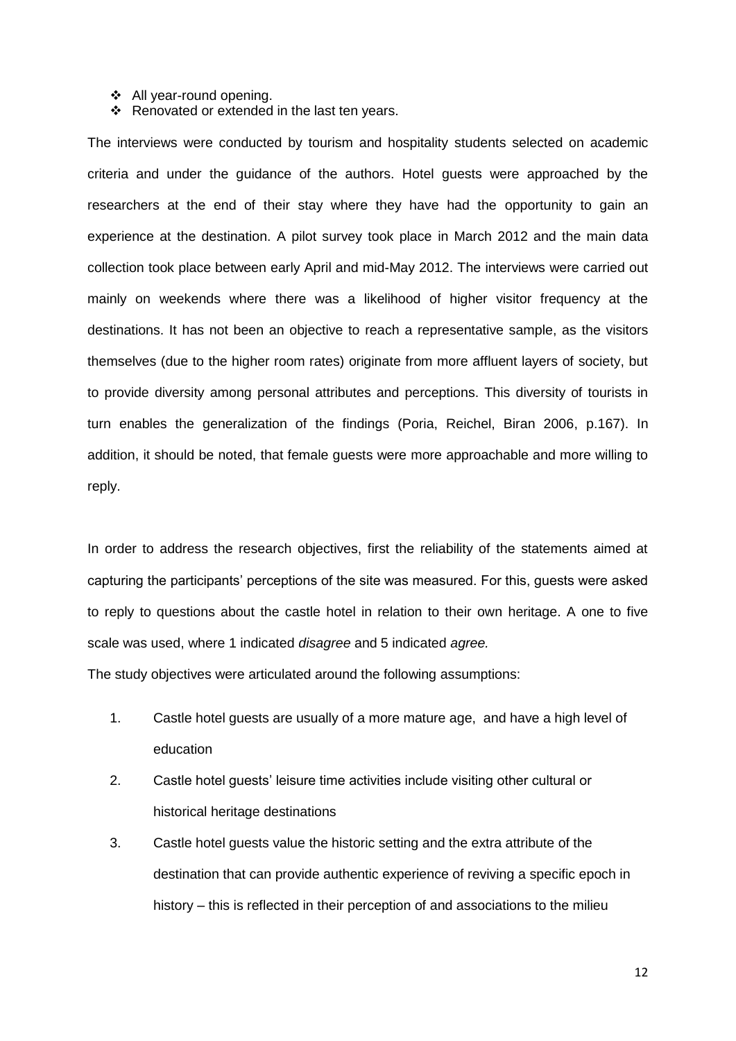#### ◆ All year-round opening.

 $\div$  Renovated or extended in the last ten years.

The interviews were conducted by tourism and hospitality students selected on academic criteria and under the guidance of the authors. Hotel guests were approached by the researchers at the end of their stay where they have had the opportunity to gain an experience at the destination. A pilot survey took place in March 2012 and the main data collection took place between early April and mid-May 2012. The interviews were carried out mainly on weekends where there was a likelihood of higher visitor frequency at the destinations. It has not been an objective to reach a representative sample, as the visitors themselves (due to the higher room rates) originate from more affluent layers of society, but to provide diversity among personal attributes and perceptions. This diversity of tourists in turn enables the generalization of the findings (Poria, Reichel, Biran 2006, p.167). In addition, it should be noted, that female guests were more approachable and more willing to reply.

In order to address the research objectives, first the reliability of the statements aimed at capturing the participants' perceptions of the site was measured. For this, guests were asked to reply to questions about the castle hotel in relation to their own heritage. A one to five scale was used, where 1 indicated *disagree* and 5 indicated *agree.*

The study objectives were articulated around the following assumptions:

- 1. Castle hotel guests are usually of a more mature age, and have a high level of education
- 2. Castle hotel guests' leisure time activities include visiting other cultural or historical heritage destinations
- 3. Castle hotel guests value the historic setting and the extra attribute of the destination that can provide authentic experience of reviving a specific epoch in history – this is reflected in their perception of and associations to the milieu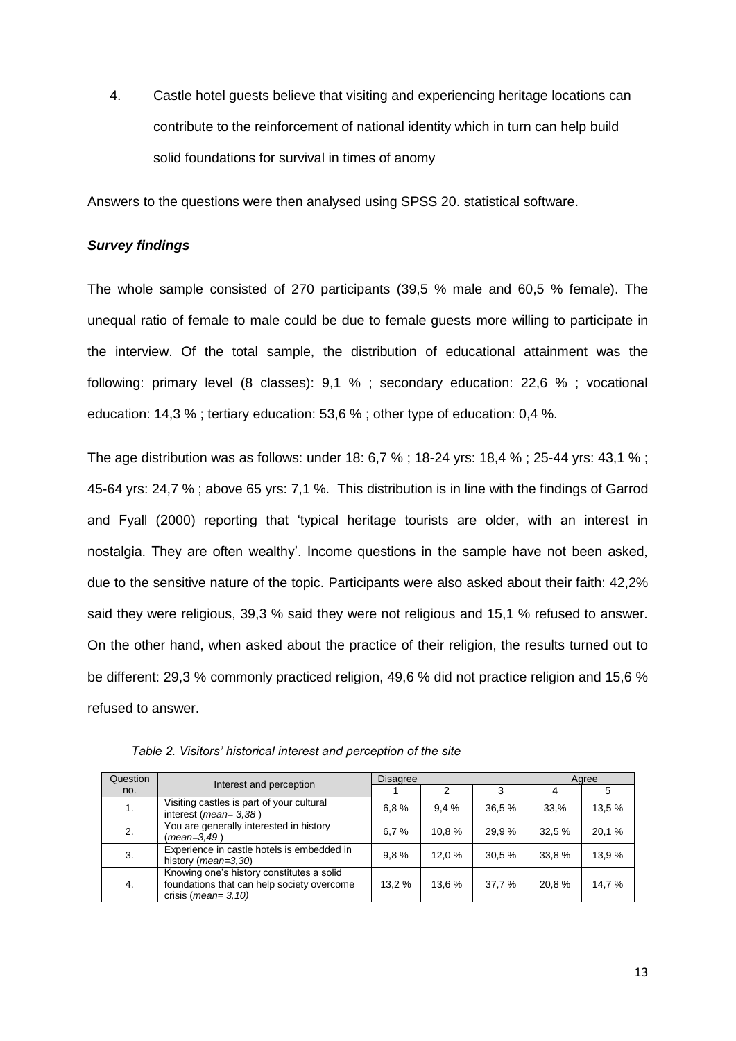4. Castle hotel guests believe that visiting and experiencing heritage locations can contribute to the reinforcement of national identity which in turn can help build solid foundations for survival in times of anomy

Answers to the questions were then analysed using SPSS 20. statistical software.

## *Survey findings*

The whole sample consisted of 270 participants (39,5 % male and 60,5 % female). The unequal ratio of female to male could be due to female guests more willing to participate in the interview. Of the total sample, the distribution of educational attainment was the following: primary level (8 classes): 9,1 % ; secondary education: 22,6 % ; vocational education: 14,3 % ; tertiary education: 53,6 % ; other type of education: 0,4 %.

The age distribution was as follows: under 18: 6,7 % ; 18-24 yrs: 18,4 % ; 25-44 yrs: 43,1 % ; 45-64 yrs: 24,7 % ; above 65 yrs: 7,1 %. This distribution is in line with the findings of Garrod and Fyall (2000) reporting that 'typical heritage tourists are older, with an interest in nostalgia. They are often wealthy'. Income questions in the sample have not been asked, due to the sensitive nature of the topic. Participants were also asked about their faith: 42,2% said they were religious, 39,3 % said they were not religious and 15,1 % refused to answer. On the other hand, when asked about the practice of their religion, the results turned out to be different: 29,3 % commonly practiced religion, 49,6 % did not practice religion and 15,6 % refused to answer.

| Question |                                                                                                                            | <b>Disagree</b> |        |        | Agree  |        |
|----------|----------------------------------------------------------------------------------------------------------------------------|-----------------|--------|--------|--------|--------|
| no.      | Interest and perception                                                                                                    |                 | 2      | 3      | 4      |        |
| 1.       | Visiting castles is part of your cultural<br>interest ( $mean = 3,38$ )                                                    | 6.8%            | 9.4%   | 36.5 % | 33.%   | 13,5 % |
| 2.       | You are generally interested in history<br>$(mean = 3, 49)$                                                                | 6.7%            | 10.8%  | 29.9%  | 32.5 % | 20,1 % |
| 3.       | Experience in castle hotels is embedded in<br>history (mean=3,30)                                                          | 9.8%            | 12.0%  | 30.5 % | 33,8%  | 13.9 % |
| 4.       | Knowing one's history constitutes a solid<br>foundations that can help society overcome<br>crisis ( <i>mean</i> = $3,10$ ) | 13.2 %          | 13.6 % | 37,7 % | 20.8%  | 14.7 % |

*Table 2. Visitors' historical interest and perception of the site*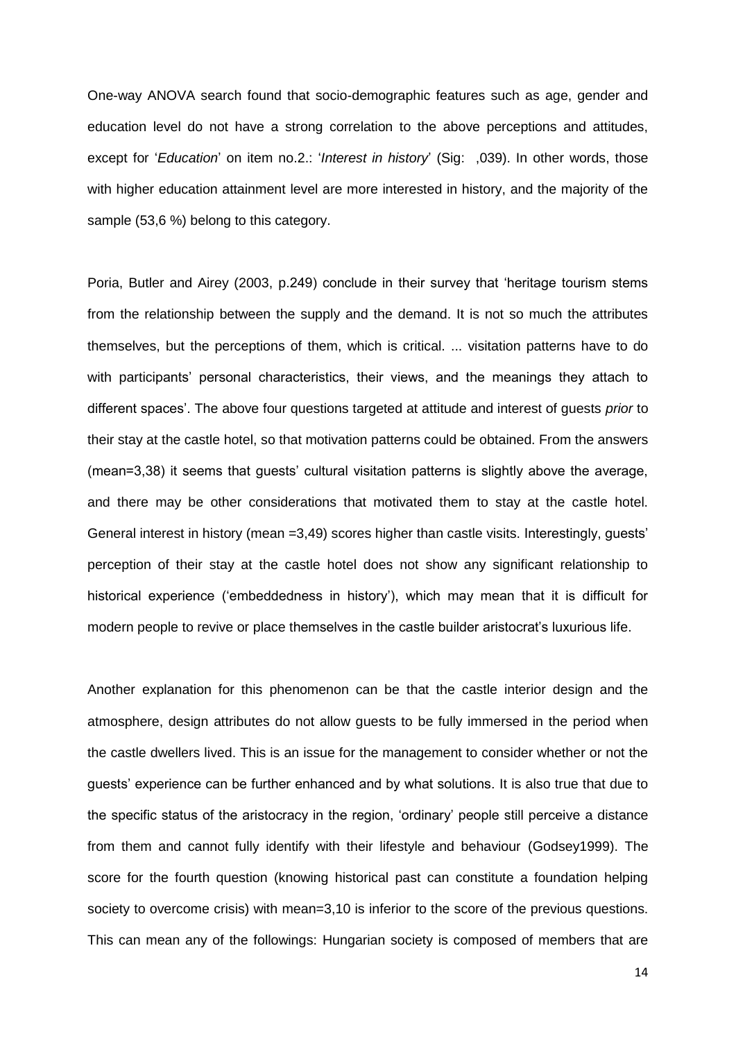One-way ANOVA search found that socio-demographic features such as age, gender and education level do not have a strong correlation to the above perceptions and attitudes, except for '*Education*' on item no.2.: '*Interest in history*' (Sig: ,039). In other words, those with higher education attainment level are more interested in history, and the majority of the sample (53,6 %) belong to this category.

Poria, Butler and Airey (2003, p.249) conclude in their survey that 'heritage tourism stems from the relationship between the supply and the demand. It is not so much the attributes themselves, but the perceptions of them, which is critical. ... visitation patterns have to do with participants' personal characteristics, their views, and the meanings they attach to different spaces'. The above four questions targeted at attitude and interest of guests *prior* to their stay at the castle hotel, so that motivation patterns could be obtained. From the answers (mean=3,38) it seems that guests' cultural visitation patterns is slightly above the average, and there may be other considerations that motivated them to stay at the castle hotel. General interest in history (mean =3,49) scores higher than castle visits. Interestingly, guests' perception of their stay at the castle hotel does not show any significant relationship to historical experience ('embeddedness in history'), which may mean that it is difficult for modern people to revive or place themselves in the castle builder aristocrat's luxurious life.

Another explanation for this phenomenon can be that the castle interior design and the atmosphere, design attributes do not allow guests to be fully immersed in the period when the castle dwellers lived. This is an issue for the management to consider whether or not the guests' experience can be further enhanced and by what solutions. It is also true that due to the specific status of the aristocracy in the region, 'ordinary' people still perceive a distance from them and cannot fully identify with their lifestyle and behaviour (Godsey1999). The score for the fourth question (knowing historical past can constitute a foundation helping society to overcome crisis) with mean=3,10 is inferior to the score of the previous questions. This can mean any of the followings: Hungarian society is composed of members that are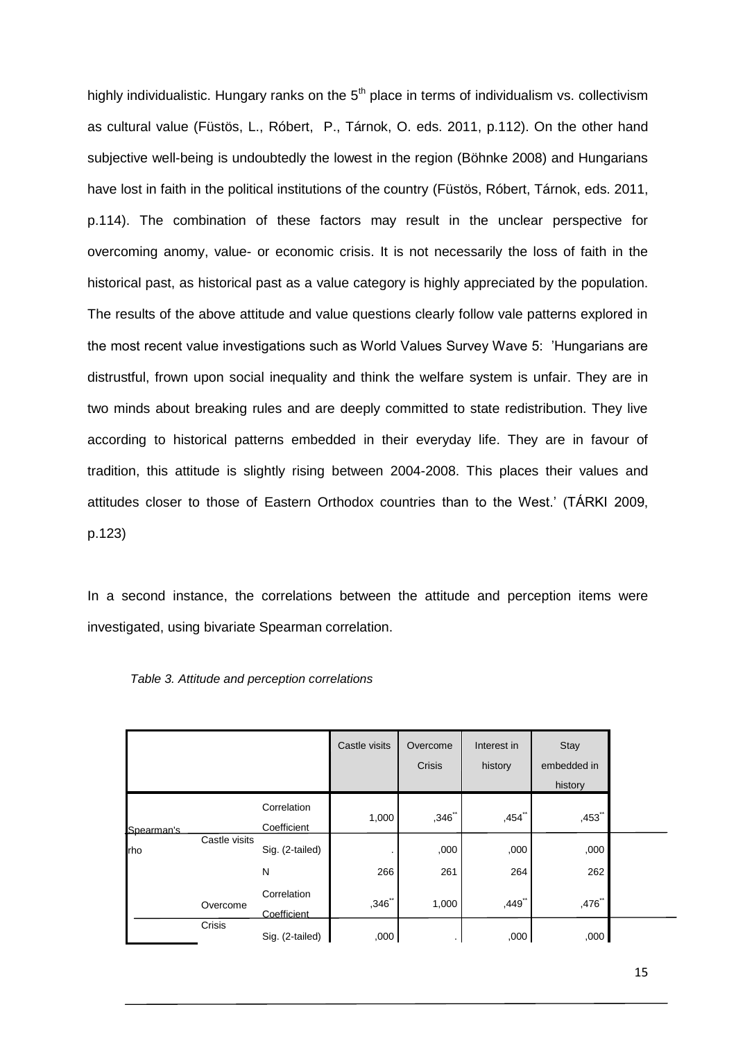highly individualistic. Hungary ranks on the  $5<sup>th</sup>$  place in terms of individualism vs. collectivism as cultural value (Füstös, L., Róbert, P., Tárnok, O. eds. 2011, p.112). On the other hand subjective well-being is undoubtedly the lowest in the region (Böhnke 2008) and Hungarians have lost in faith in the political institutions of the country (Füstös, Róbert, Tárnok, eds. 2011, p.114). The combination of these factors may result in the unclear perspective for overcoming anomy, value- or economic crisis. It is not necessarily the loss of faith in the historical past, as historical past as a value category is highly appreciated by the population. The results of the above attitude and value questions clearly follow vale patterns explored in the most recent value investigations such as World Values Survey Wave 5: 'Hungarians are distrustful, frown upon social inequality and think the welfare system is unfair. They are in two minds about breaking rules and are deeply committed to state redistribution. They live according to historical patterns embedded in their everyday life. They are in favour of tradition, this attitude is slightly rising between 2004-2008. This places their values and attitudes closer to those of Eastern Orthodox countries than to the West.' (TÁRKI 2009, p.123)

In a second instance, the correlations between the attitude and perception items were investigated, using bivariate Spearman correlation.

|            |               |                            | Castle visits | Overcome<br>Crisis | Interest in<br>history | Stay<br>embedded in<br>history |  |
|------------|---------------|----------------------------|---------------|--------------------|------------------------|--------------------------------|--|
| Spearman's |               | Correlation<br>Coefficient | 1,000         | ,346"              | $,454$ <sup>**</sup>   | $,453$ <sup>**</sup>           |  |
| rho        | Castle visits | Sig. (2-tailed)<br>N       | 266           | ,000<br>261        | ,000<br>264            | ,000<br>262                    |  |
|            | Overcome      | Correlation<br>Coefficient | ,346"         | 1,000              | ,449**                 | $,476$ **                      |  |
|            | Crisis        | Sig. (2-tailed)            | ,000          |                    | ,000                   | ,000                           |  |

*Table 3. Attitude and perception correlations*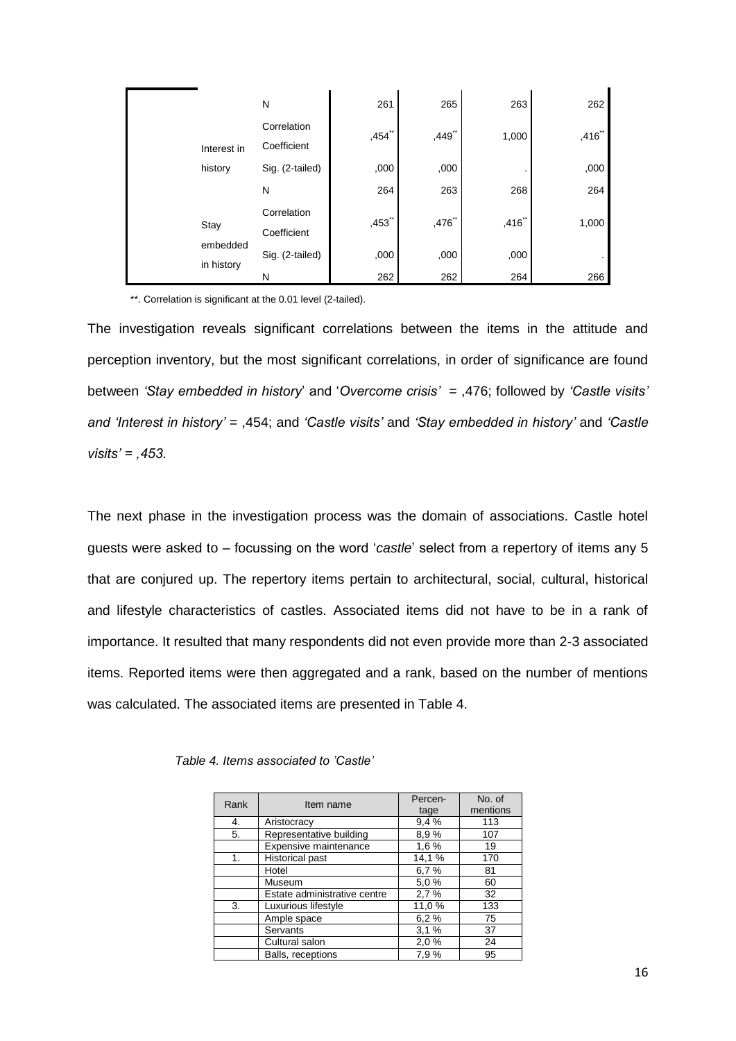|                        | N                          | 261                  | 265    | 263   | 262   |
|------------------------|----------------------------|----------------------|--------|-------|-------|
| Interest in            | Correlation<br>Coefficient | $,454$ <sup>**</sup> | ,449** | 1,000 | ,416" |
| history                | Sig. (2-tailed)            | ,000                 | ,000   |       | ,000  |
|                        | N                          | 264                  | 263    | 268   | 264   |
| Stay                   | Correlation<br>Coefficient | $,453$ "             | ,476** | ,416" | 1,000 |
| embedded<br>in history | Sig. (2-tailed)            | ,000                 | ,000   | ,000  |       |
|                        | N                          | 262                  | 262    | 264   | 266   |

\*\*. Correlation is significant at the 0.01 level (2-tailed).

The investigation reveals significant correlations between the items in the attitude and perception inventory, but the most significant correlations, in order of significance are found between *'Stay embedded in history*' and '*Overcome crisis'* = ,476; followed by *'Castle visits' and 'Interest in history'* = ,454; and *'Castle visits'* and *'Stay embedded in history'* and *'Castle visits' = ,453.*

The next phase in the investigation process was the domain of associations. Castle hotel guests were asked to – focussing on the word '*castle*' select from a repertory of items any 5 that are conjured up. The repertory items pertain to architectural, social, cultural, historical and lifestyle characteristics of castles. Associated items did not have to be in a rank of importance. It resulted that many respondents did not even provide more than 2-3 associated items. Reported items were then aggregated and a rank, based on the number of mentions was calculated. The associated items are presented in Table 4.

| Rank | Item name                    | Percen- | No. of   |
|------|------------------------------|---------|----------|
|      |                              | tage    | mentions |
| 4.   | Aristocracy                  | 9,4%    | 113      |
| 5.   | Representative building      | 8.9%    | 107      |
|      | Expensive maintenance        | 1,6%    | 19       |
| 1.   | <b>Historical past</b>       | 14,1%   | 170      |
|      | Hotel                        | 6.7%    | 81       |
|      | Museum                       | 5,0%    | 60       |
|      | Estate administrative centre | 2.7%    | 32       |
| 3.   | Luxurious lifestyle          | 11,0%   | 133      |
|      | Ample space                  | 6.2%    | 75       |
|      | Servants                     | 3,1%    | 37       |
|      | Cultural salon               | 2,0%    | 24       |
|      | Balls, receptions            | 7,9%    | 95       |

| Table 4. Items associated to 'Castle' |
|---------------------------------------|
|---------------------------------------|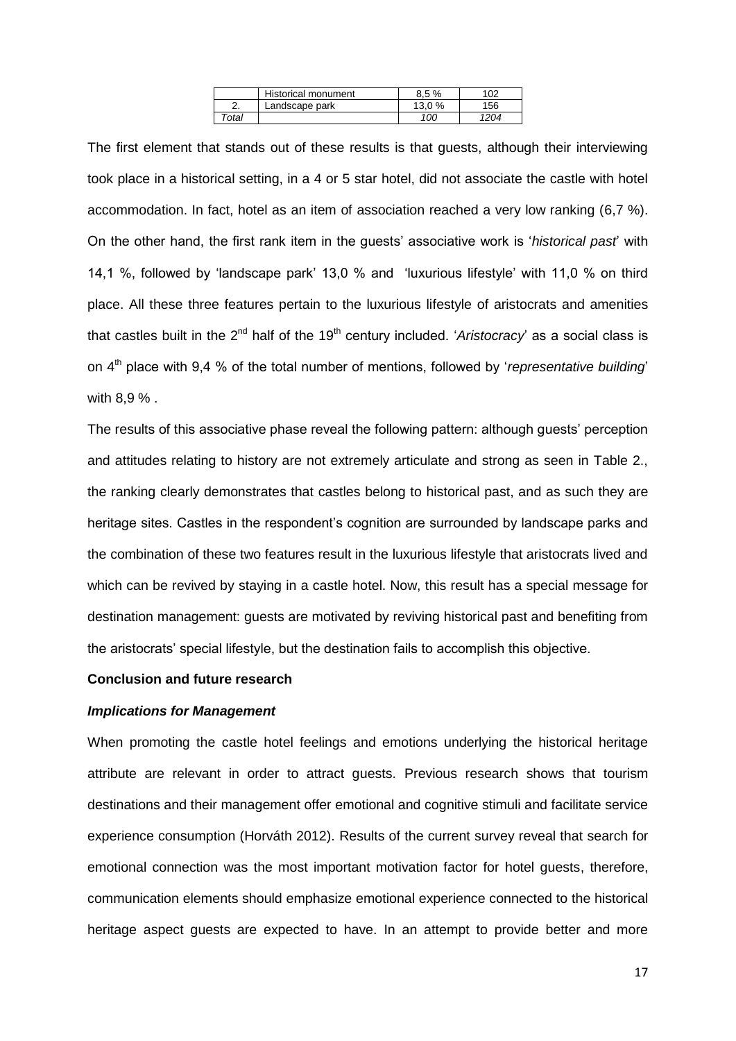|          | Historical monument | 8.5%   |     |
|----------|---------------------|--------|-----|
| <u>.</u> | Landscape park      | 13.0 % | 156 |
| ™otal    |                     | 100    | 204 |

The first element that stands out of these results is that guests, although their interviewing took place in a historical setting, in a 4 or 5 star hotel, did not associate the castle with hotel accommodation. In fact, hotel as an item of association reached a very low ranking (6,7 %). On the other hand, the first rank item in the guests' associative work is '*historical past*' with 14,1 %, followed by 'landscape park' 13,0 % and 'luxurious lifestyle' with 11,0 % on third place. All these three features pertain to the luxurious lifestyle of aristocrats and amenities that castles built in the 2<sup>nd</sup> half of the 19<sup>th</sup> century included. '*Aristocracy*' as a social class is on 4th place with 9,4 % of the total number of mentions, followed by '*representative building*' with 8,9 % .

The results of this associative phase reveal the following pattern: although guests' perception and attitudes relating to history are not extremely articulate and strong as seen in Table 2., the ranking clearly demonstrates that castles belong to historical past, and as such they are heritage sites. Castles in the respondent's cognition are surrounded by landscape parks and the combination of these two features result in the luxurious lifestyle that aristocrats lived and which can be revived by staying in a castle hotel. Now, this result has a special message for destination management: guests are motivated by reviving historical past and benefiting from the aristocrats' special lifestyle, but the destination fails to accomplish this objective.

#### **Conclusion and future research**

#### *Implications for Management*

When promoting the castle hotel feelings and emotions underlying the historical heritage attribute are relevant in order to attract guests. Previous research shows that tourism destinations and their management offer emotional and cognitive stimuli and facilitate service experience consumption (Horváth 2012). Results of the current survey reveal that search for emotional connection was the most important motivation factor for hotel guests, therefore, communication elements should emphasize emotional experience connected to the historical heritage aspect guests are expected to have. In an attempt to provide better and more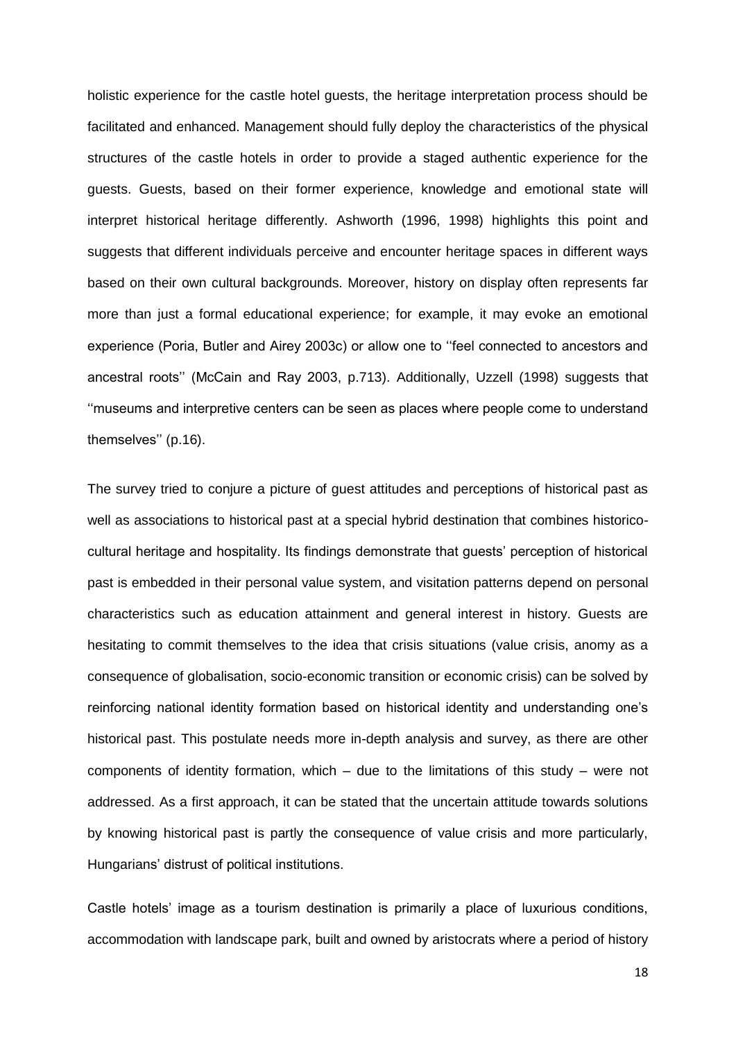holistic experience for the castle hotel guests, the heritage interpretation process should be facilitated and enhanced. Management should fully deploy the characteristics of the physical structures of the castle hotels in order to provide a staged authentic experience for the guests. Guests, based on their former experience, knowledge and emotional state will interpret historical heritage differently. Ashworth (1996, 1998) highlights this point and suggests that different individuals perceive and encounter heritage spaces in different ways based on their own cultural backgrounds. Moreover, history on display often represents far more than just a formal educational experience; for example, it may evoke an emotional experience (Poria, Butler and Airey 2003c) or allow one to ''feel connected to ancestors and ancestral roots'' (McCain and Ray 2003, p.713). Additionally, Uzzell (1998) suggests that ''museums and interpretive centers can be seen as places where people come to understand themselves'' (p.16).

The survey tried to conjure a picture of guest attitudes and perceptions of historical past as well as associations to historical past at a special hybrid destination that combines historicocultural heritage and hospitality. Its findings demonstrate that guests' perception of historical past is embedded in their personal value system, and visitation patterns depend on personal characteristics such as education attainment and general interest in history. Guests are hesitating to commit themselves to the idea that crisis situations (value crisis, anomy as a consequence of globalisation, socio-economic transition or economic crisis) can be solved by reinforcing national identity formation based on historical identity and understanding one's historical past. This postulate needs more in-depth analysis and survey, as there are other components of identity formation, which – due to the limitations of this study – were not addressed. As a first approach, it can be stated that the uncertain attitude towards solutions by knowing historical past is partly the consequence of value crisis and more particularly, Hungarians' distrust of political institutions.

Castle hotels' image as a tourism destination is primarily a place of luxurious conditions, accommodation with landscape park, built and owned by aristocrats where a period of history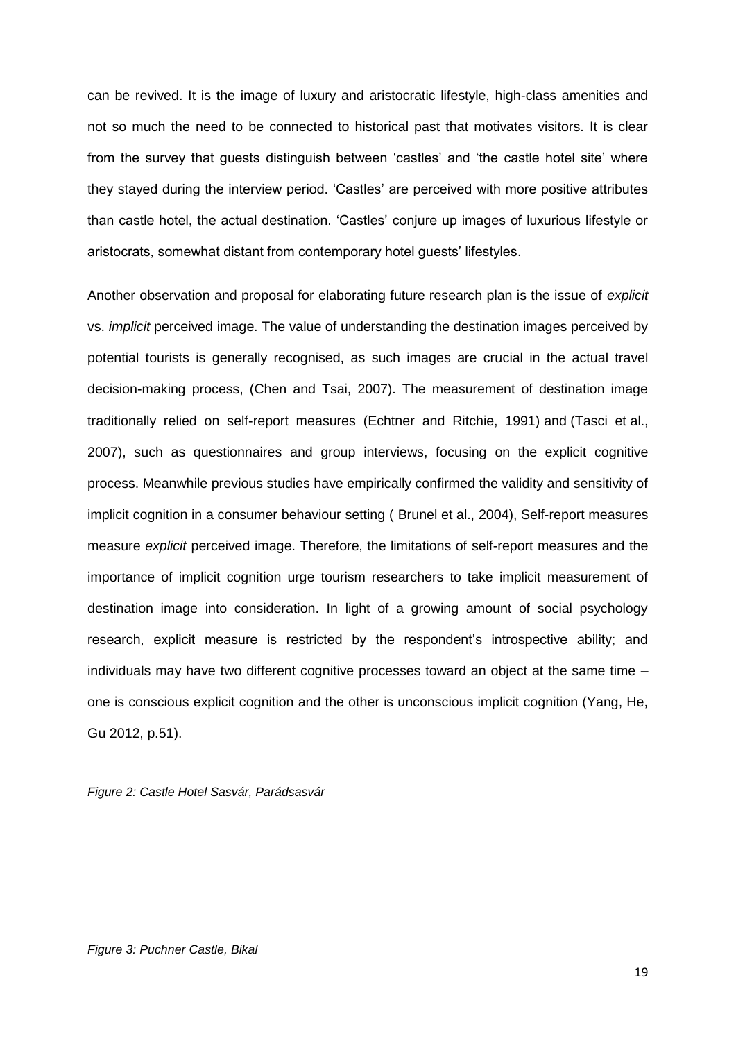can be revived. It is the image of luxury and aristocratic lifestyle, high-class amenities and not so much the need to be connected to historical past that motivates visitors. It is clear from the survey that guests distinguish between 'castles' and 'the castle hotel site' where they stayed during the interview period. 'Castles' are perceived with more positive attributes than castle hotel, the actual destination. 'Castles' conjure up images of luxurious lifestyle or aristocrats, somewhat distant from contemporary hotel guests' lifestyles.

Another observation and proposal for elaborating future research plan is the issue of *explicit*  vs. *implicit* perceived image. The value of understanding the destination images perceived by potential tourists is generally recognised, as such images are crucial in the actual travel decision-making process, (Chen and Tsai, 2007). The measurement of destination image traditionally relied on self-report measures (Echtner and Ritchie, 1991) and (Tasci et al., 2007), such as questionnaires and group interviews, focusing on the explicit cognitive process. Meanwhile previous studies have empirically confirmed the validity and sensitivity of implicit cognition in a consumer behaviour setting ( [Brunel et](http://www.sciencedirect.com/science/article/pii/S0261517711000380#bib5) al., 2004), Self-report measures measure *explicit* perceived image. Therefore, the limitations of self-report measures and the importance of implicit cognition urge tourism researchers to take implicit measurement of destination image into consideration. In light of a growing amount of social psychology research, explicit measure is restricted by the respondent's introspective ability; and individuals may have two different cognitive processes toward an object at the same time – one is conscious explicit cognition and the other is unconscious implicit cognition (Yang, He, Gu 2012, p.51).

*Figure 2: Castle Hotel Sasvár, Parádsasvár*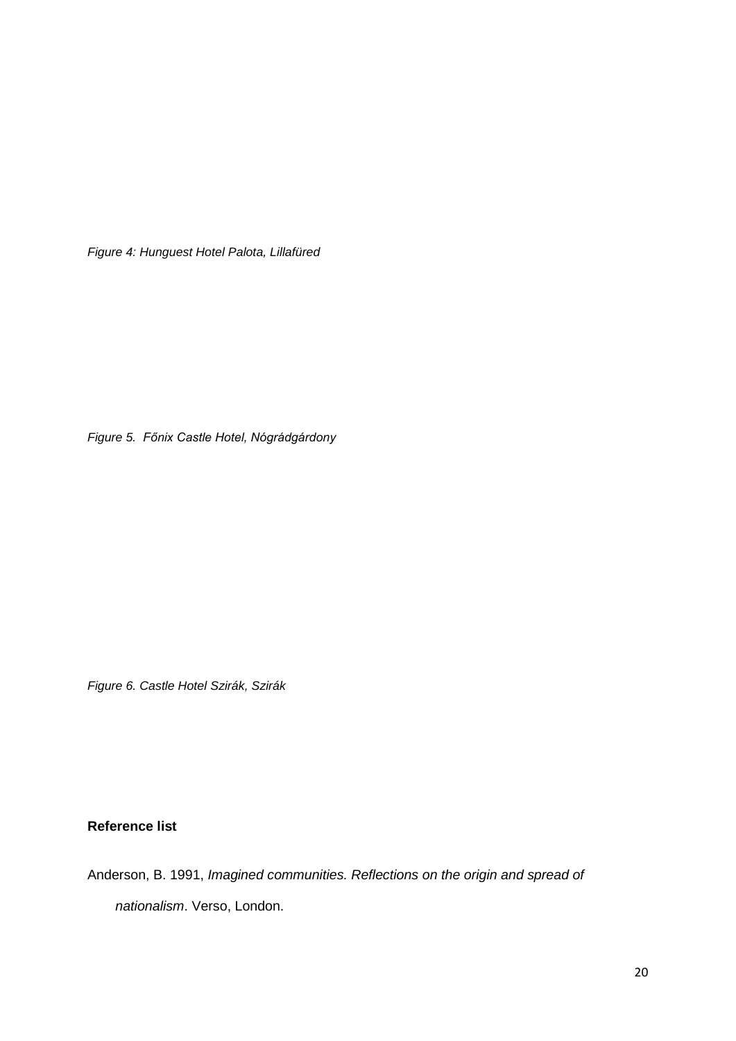*Figure 4: Hunguest Hotel Palota, Lillafüred*

*Figure 5. Főnix Castle Hotel, Nógrádgárdony*

*Figure 6. Castle Hotel Szirák, Szirák*

# **Reference list**

Anderson, B. 1991, *Imagined communities. Reflections on the origin and spread of nationalism*. Verso, London.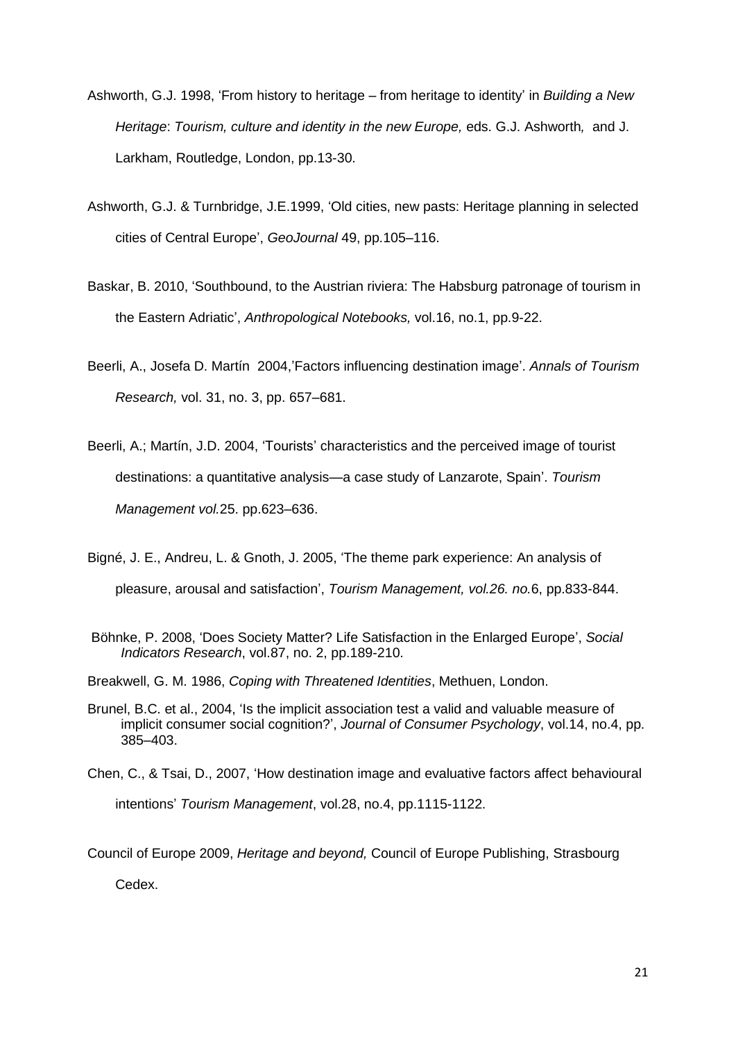- Ashworth, G.J. 1998, 'From history to heritage from heritage to identity' in *Building a New Heritage*: *Tourism, culture and identity in the new Europe,* eds. G.J. Ashworth*,* and J. Larkham, Routledge, London, pp.13-30.
- Ashworth, G.J. & Turnbridge, J.E.1999, 'Old cities, new pasts: Heritage planning in selected cities of Central Europe', *GeoJournal* 49, pp.105–116.
- Baskar, B. 2010, 'Southbound, to the Austrian riviera: The Habsburg patronage of tourism in the Eastern Adriatic', *Anthropological Notebooks,* vol.16, no.1, pp.9-22.
- Beerli, A., Josefa D. Martín 2004,'Factors influencing destination image'. *Annals of Tourism Research,* vol. 31, no. 3, pp. 657–681.
- Beerli, A.; Martín, J.D. 2004, 'Tourists' characteristics and the perceived image of tourist destinations: a quantitative analysis—a case study of Lanzarote, Spain'. *Tourism Management vol.*25. pp.623–636.
- Bigné, J. E., Andreu, L. & Gnoth, J. 2005, 'The theme park experience: An analysis of pleasure, arousal and satisfaction', *Tourism Management, vol.26. no.*6, pp.833-844.
- Böhnke, P. 2008, 'Does Society Matter? Life Satisfaction in the Enlarged Europe', *Social Indicators Research*, [vol.87, no.](http://www.springerlink.com/content/0303-8300/87/2/) 2, pp.189-210.
- Breakwell, G. M. 1986, *Coping with Threatened Identities*, Methuen, London.
- Brunel, B.C. et al., 2004, 'Is the implicit association test a valid and valuable measure of implicit consumer social cognition?', *Journal of Consumer Psychology*, vol.14, no.4, pp. 385–403.
- Chen, C., & Tsai, D., 2007, 'How destination image and evaluative factors affect behavioural intentions' *Tourism Management*, vol.28, no.4, pp.1115-1122.

Council of Europe 2009, *Heritage and beyond,* Council of Europe Publishing, Strasbourg Cedex.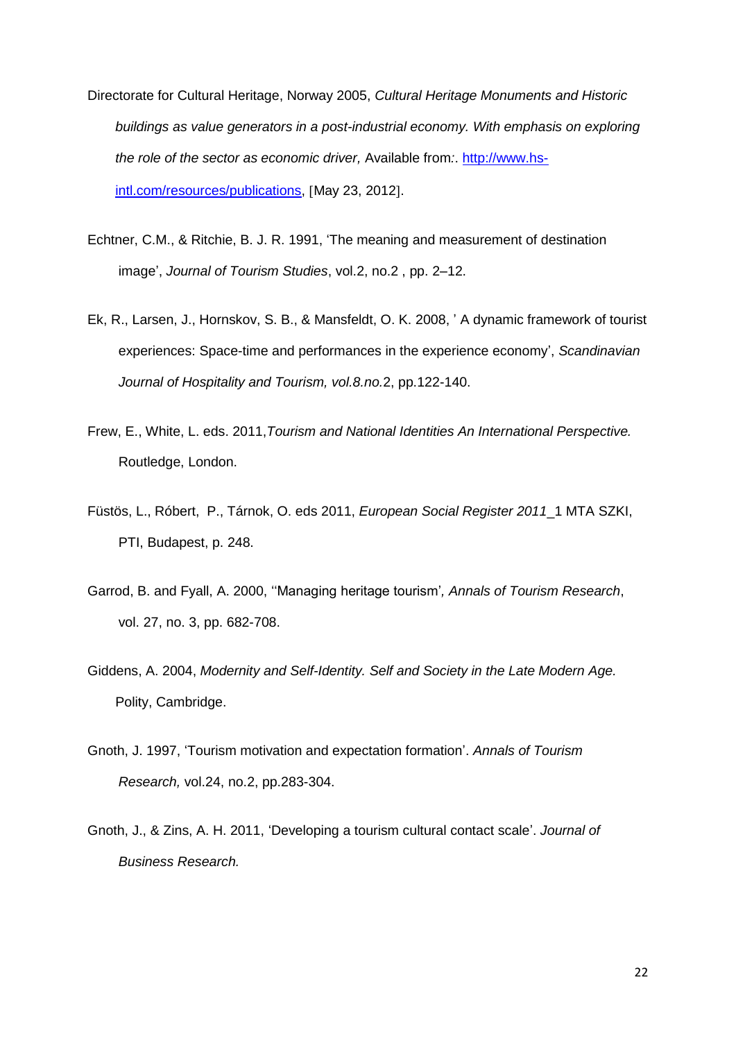- Directorate for Cultural Heritage, Norway 2005, *Cultural Heritage Monuments and Historic buildings as value generators in a post-industrial economy. With emphasis on exploring the role of the sector as economic driver,* Available from*:*. [http://www.hs](http://www.hs-intl.com/resources/publications)[intl.com/resources/publications,](http://www.hs-intl.com/resources/publications) [May 23, 2012].
- Echtner, C.M., & Ritchie, B. J. R. 1991, 'The meaning and measurement of destination image', *Journal of Tourism Studies*, vol.2, no.2 , pp. 2–12.
- Ek, R., Larsen, J., Hornskov, S. B., & Mansfeldt, O. K. 2008, ' A dynamic framework of tourist experiences: Space-time and performances in the experience economy', *Scandinavian Journal of Hospitality and Tourism, vol.8.no.*2, pp.122-140.
- Frew, E., White, L. eds. 2011,*Tourism and National Identities An International Perspective.*  Routledge, London.
- Füstös, L., Róbert, P., Tárnok, O. eds 2011, *[European Social Register 2011](http://www.esshu.hu/node/120)*\_1 MTA SZKI, PTI, Budapest, p. 248.
- Garrod, B. and Fyall, A. 2000, ''Managing heritage tourism'*, Annals of Tourism Research*, vol. 27, no. 3, pp. 682-708.
- Giddens, A. 2004, *Modernity and Self-Identity. Self and Society in the Late Modern Age.*  Polity, Cambridge.
- Gnoth, J. 1997, 'Tourism motivation and expectation formation'. *Annals of Tourism Research,* vol.24, no.2, pp.283-304.
- Gnoth, J., & Zins, A. H. 2011, 'Developing a tourism cultural contact scale'. *Journal of Business Research.*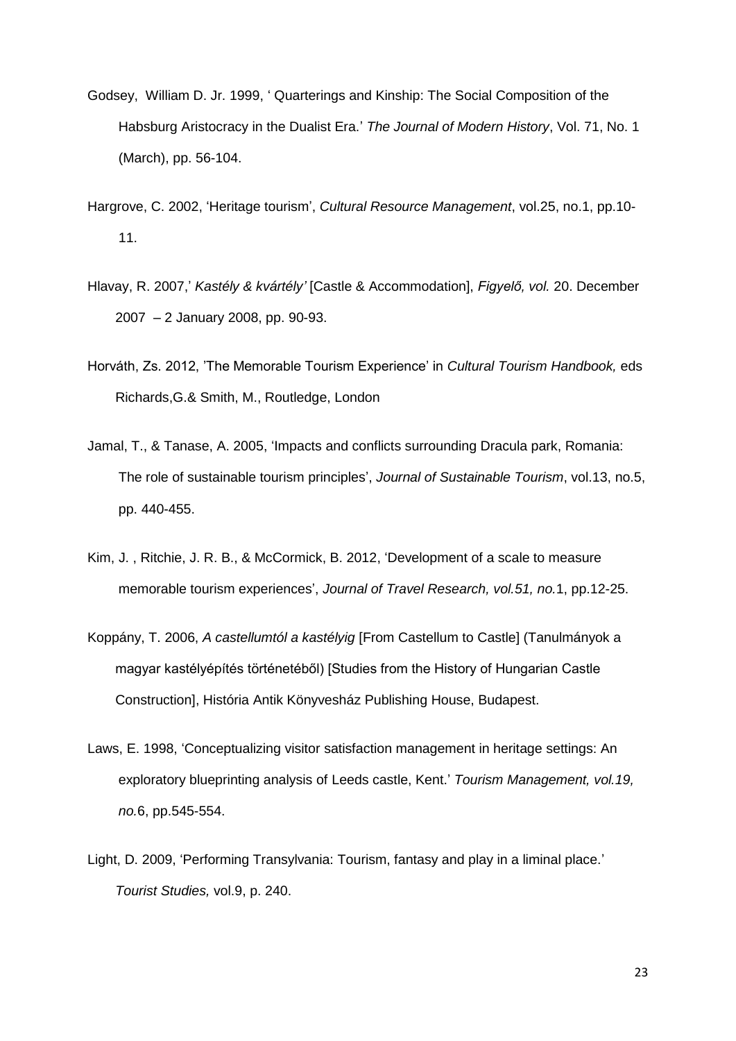- Godsey, William D. Jr. 1999, ' Quarterings and Kinship: The Social Composition of the Habsburg Aristocracy in the Dualist Era.' *The Journal of Modern History*, Vol. 71, No. 1 (March), pp. 56-104.
- Hargrove, C. 2002, 'Heritage tourism', *Cultural Resource Management*, vol.25, no.1, pp.10- 11.
- Hlavay, R. 2007,' *Kastély & kvártély'* [Castle & Accommodation], *Figyelő, vol.* 20. December 2007 – 2 January 2008, pp. 90-93.
- Horváth, Zs. 2012, 'The Memorable Tourism Experience' in *Cultural Tourism Handbook,* eds Richards,G.& Smith, M., Routledge, London
- Jamal, T., & Tanase, A. 2005, 'Impacts and conflicts surrounding Dracula park, Romania: The role of sustainable tourism principles', *Journal of Sustainable Tourism*, vol.13, no.5, pp. 440-455.
- Kim, J. , Ritchie, J. R. B., & McCormick, B. 2012, 'Development of a scale to measure memorable tourism experiences', *Journal of Travel Research, vol.51, no.*1, pp.12-25.
- Koppány, T. 2006, *A castellumtól a kastélyig* [From Castellum to Castle] (Tanulmányok a magyar kastélyépítés történetéből) [Studies from the History of Hungarian Castle Construction], História Antik Könyvesház Publishing House, Budapest.
- Laws, E. 1998, 'Conceptualizing visitor satisfaction management in heritage settings: An exploratory blueprinting analysis of Leeds castle, Kent.' *Tourism Management, vol.19, no.*6, pp.545-554.
- Light, D. 2009, 'Performing Transylvania: Tourism, fantasy and play in a liminal place.' *Tourist Studies,* vol.9, p. 240.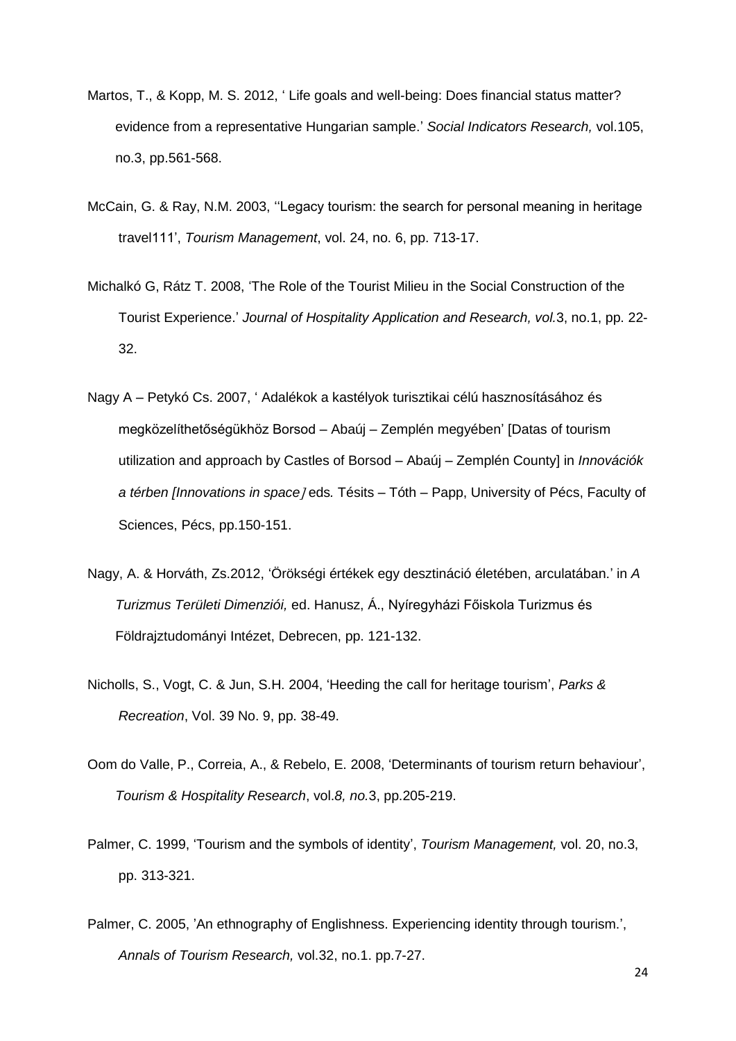- Martos, T., & Kopp, M. S. 2012, ' Life goals and well-being: Does financial status matter? evidence from a representative Hungarian sample.' *Social Indicators Research,* vol.105, no.3, pp.561-568.
- McCain, G. & Ray, N.M. 2003, ''Legacy tourism: the search for personal meaning in heritage travel111', *Tourism Management*, vol. 24, no. 6, pp. 713-17.
- Michalkó G, Rátz T. 2008, 'The Role of the Tourist Milieu in the Social Construction of the Tourist Experience.' *Journal of Hospitality Application and Research, vol.*3, no.1, pp. 22- 32.
- Nagy A Petykó Cs. 2007, ' Adalékok a kastélyok turisztikai célú hasznosításához és megközelíthetőségükhöz Borsod – Abaúj – Zemplén megyében' [Datas of tourism utilization and approach by Castles of Borsod – Abaúj – Zemplén County] in *Innovációk a térben [Innovations in space]* eds. Tésits – Tóth – Papp, University of Pécs, Faculty of Sciences, Pécs, pp.150-151.
- Nagy, A. & Horváth, Zs.2012, 'Örökségi értékek egy desztináció életében, arculatában.' in *A Turizmus Területi Dimenziói,* ed. Hanusz, Á., Nyíregyházi Főiskola Turizmus és Földrajztudományi Intézet, Debrecen, pp. 121-132.
- Nicholls, S., Vogt, C. & Jun, S.H. 2004, 'Heeding the call for heritage tourism', *Parks & Recreation*, Vol. 39 No. 9, pp. 38-49.
- Oom do Valle, P., Correia, A., & Rebelo, E. 2008, 'Determinants of tourism return behaviour', *Tourism & Hospitality Research*, vol.*8, no.*3, pp.205-219.
- Palmer, C. 1999, 'Tourism and the symbols of identity', *Tourism Management,* vol. 20, no.3, pp. 313-321.
- Palmer, C. 2005, 'An ethnography of Englishness. Experiencing identity through tourism.', *Annals of Tourism Research,* vol.32, no.1. pp.7-27.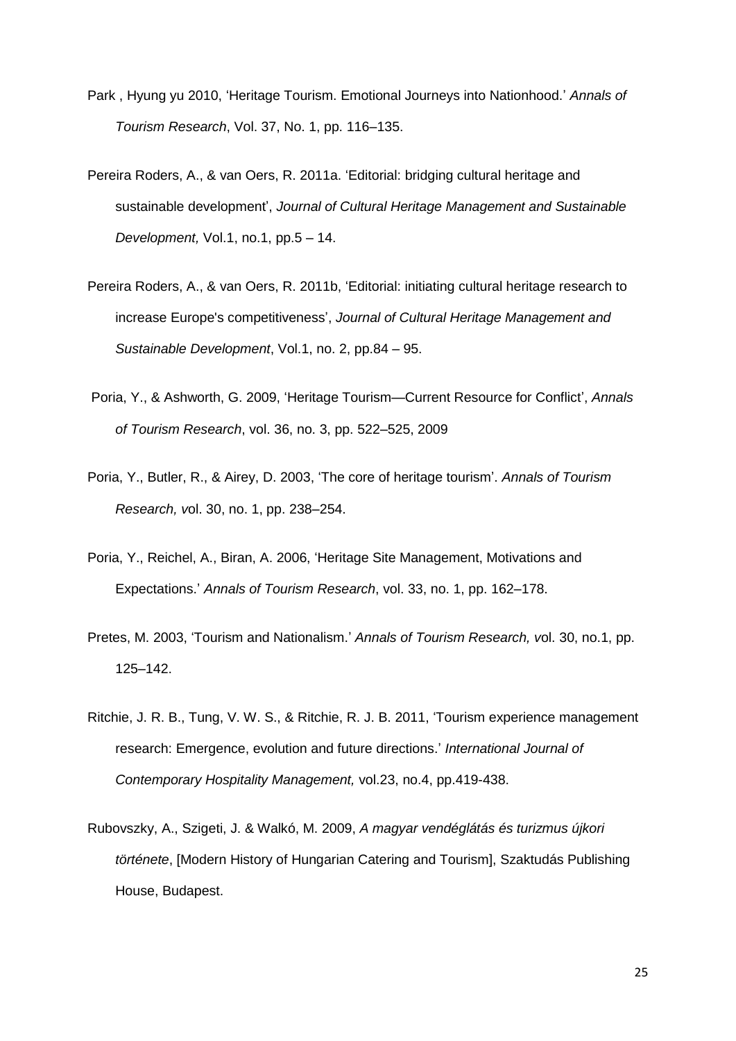- Park , Hyung yu 2010, 'Heritage Tourism. Emotional Journeys into Nationhood.' *Annals of Tourism Research*, Vol. 37, No. 1, pp. 116–135.
- Pereira Roders, A., & van Oers, R. 2011a. 'Editorial: bridging cultural heritage and sustainable development', *Journal of Cultural Heritage Management and Sustainable Development,* Vol.1, no.1, pp.5 – 14.
- Pereira Roders, A., & van Oers, R. 2011b, 'Editorial: initiating cultural heritage research to increase Europe's competitiveness', *Journal of Cultural Heritage Management and Sustainable Development*, Vol.1, no. 2, pp.84 – 95.
- Poria, Y., & Ashworth, G. 2009, 'Heritage Tourism—Current Resource for Conflict', *Annals of Tourism Research*, vol. 36, no. 3, pp. 522–525, 2009
- Poria, Y., Butler, R., & Airey, D. 2003, 'The core of heritage tourism'. *Annals of Tourism Research, v*ol. 30, no. 1, pp. 238–254.
- Poria, Y., Reichel, A., Biran, A. 2006, 'Heritage Site Management, Motivations and Expectations.' *Annals of Tourism Research*, vol. 33, no. 1, pp. 162–178.
- Pretes, M. 2003, 'Tourism and Nationalism.' *Annals of Tourism Research, v*ol. 30, no.1, pp. 125–142.
- Ritchie, J. R. B., Tung, V. W. S., & Ritchie, R. J. B. 2011, 'Tourism experience management research: Emergence, evolution and future directions.' *International Journal of Contemporary Hospitality Management,* vol.23, no.4, pp.419-438.
- Rubovszky, A., Szigeti, J. & Walkó, M. 2009, *A magyar vendéglátás és turizmus újkori története*, [Modern History of Hungarian Catering and Tourism], Szaktudás Publishing House, Budapest.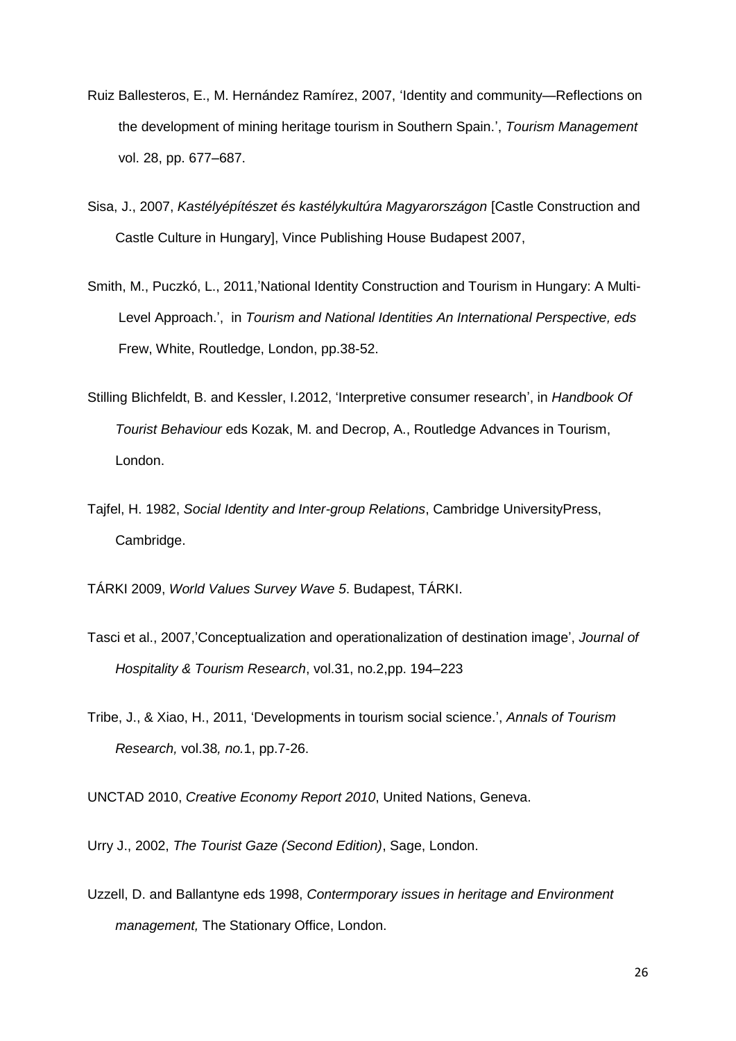- Ruiz Ballesteros, E., M. Hernández Ramírez, 2007, 'Identity and community—Reflections on the development of mining heritage tourism in Southern Spain.', *Tourism Management* vol. 28, pp. 677–687.
- Sisa, J., 2007, *Kastélyépítészet és kastélykultúra Magyarországon* [Castle Construction and Castle Culture in Hungary], Vince Publishing House Budapest 2007,
- Smith, M., Puczkó, L., 2011,'National Identity Construction and Tourism in Hungary: A Multi-Level Approach.', in *Tourism and National Identities An International Perspective, eds*  Frew, White, Routledge, London, pp.38-52.
- Stilling Blichfeldt, B. and Kessler, I.2012, 'Interpretive consumer research', in *Handbook Of Tourist Behaviour* eds Kozak, M. and Decrop, A., Routledge Advances in Tourism, London.
- Tajfel, H. 1982, *Social Identity and Inter-group Relations*, Cambridge UniversityPress, Cambridge.

TÁRKI 2009, *World Values Survey Wave 5*. Budapest, TÁRKI.

- Tasci et al., 2007,'Conceptualization and operationalization of destination image', *Journal of Hospitality & Tourism Research*, vol.31, no.2,pp. 194–223
- Tribe, J., & Xiao, H., 2011, 'Developments in tourism social science.', *Annals of Tourism Research,* vol.38*, no.*1, pp.7-26.

UNCTAD 2010, *Creative Economy Report 2010*, United Nations, Geneva.

Urry J., 2002, *The Tourist Gaze (Second Edition)*, Sage, London.

Uzzell, D. and Ballantyne eds 1998, *Contermporary issues in heritage and Environment management,* The Stationary Office, London.